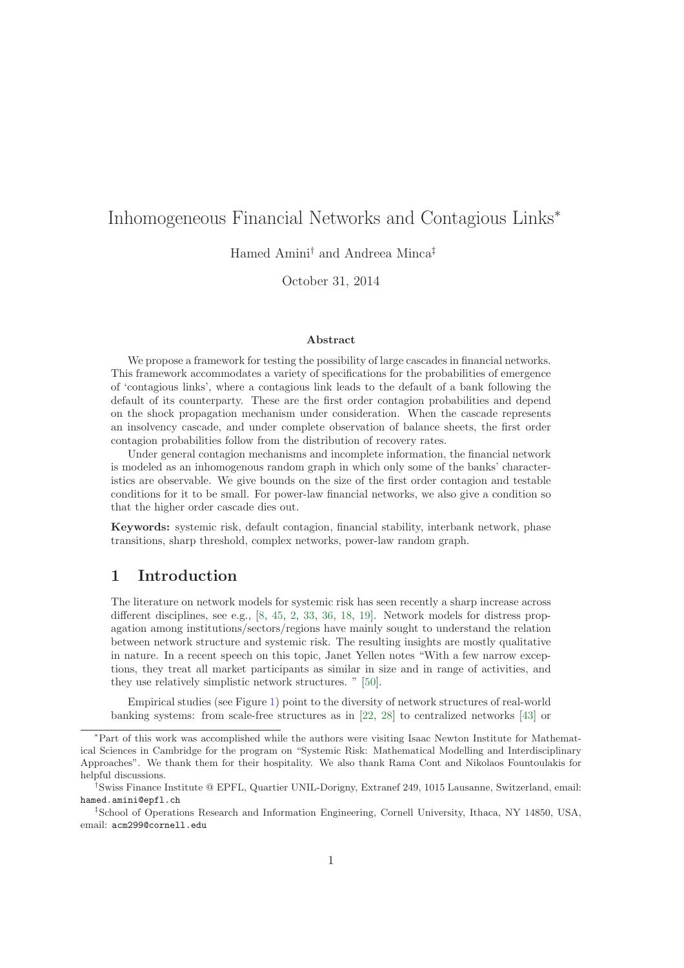# Inhomogeneous Financial Networks and Contagious Links<sup>∗</sup>

Hamed Amini† and Andreea Minca‡

October 31, 2014

#### Abstract

We propose a framework for testing the possibility of large cascades in financial networks. This framework accommodates a variety of specifications for the probabilities of emergence of 'contagious links', where a contagious link leads to the default of a bank following the default of its counterparty. These are the first order contagion probabilities and depend on the shock propagation mechanism under consideration. When the cascade represents an insolvency cascade, and under complete observation of balance sheets, the first order contagion probabilities follow from the distribution of recovery rates.

Under general contagion mechanisms and incomplete information, the financial network is modeled as an inhomogenous random graph in which only some of the banks' characteristics are observable. We give bounds on the size of the first order contagion and testable conditions for it to be small. For power-law financial networks, we also give a condition so that the higher order cascade dies out.

Keywords: systemic risk, default contagion, financial stability, interbank network, phase transitions, sharp threshold, complex networks, power-law random graph.

# 1 Introduction

The literature on network models for systemic risk has seen recently a sharp increase across different disciplines, see e.g., [8, 45, 2, 33, 36, 18, 19]. Network models for distress propagation among institutions/sectors/regions have mainly sought to understand the relation between network structure and systemic risk. The resulting insights are mostly qualitative in nature. In a recent speech on this topic, Janet Yellen notes "With a few narrow exceptions, they treat all market participants as similar in size and in range of activities, and they use relatively simplistic network structures. " [50].

Empirical studies (see Figure 1) point to the diversity of network structures of real-world banking systems: from scale-free structures as in [22, 28] to centralized networks [43] or

<sup>∗</sup>Part of this work was accomplished while the authors were visiting Isaac Newton Institute for Mathematical Sciences in Cambridge for the program on "Systemic Risk: Mathematical Modelling and Interdisciplinary Approaches". We thank them for their hospitality. We also thank Rama Cont and Nikolaos Fountoulakis for helpful discussions.

<sup>†</sup>Swiss Finance Institute @ EPFL, Quartier UNIL-Dorigny, Extranef 249, 1015 Lausanne, Switzerland, email: hamed.amini@epfl.ch

<sup>‡</sup>School of Operations Research and Information Engineering, Cornell University, Ithaca, NY 14850, USA, email: acm299@cornell.edu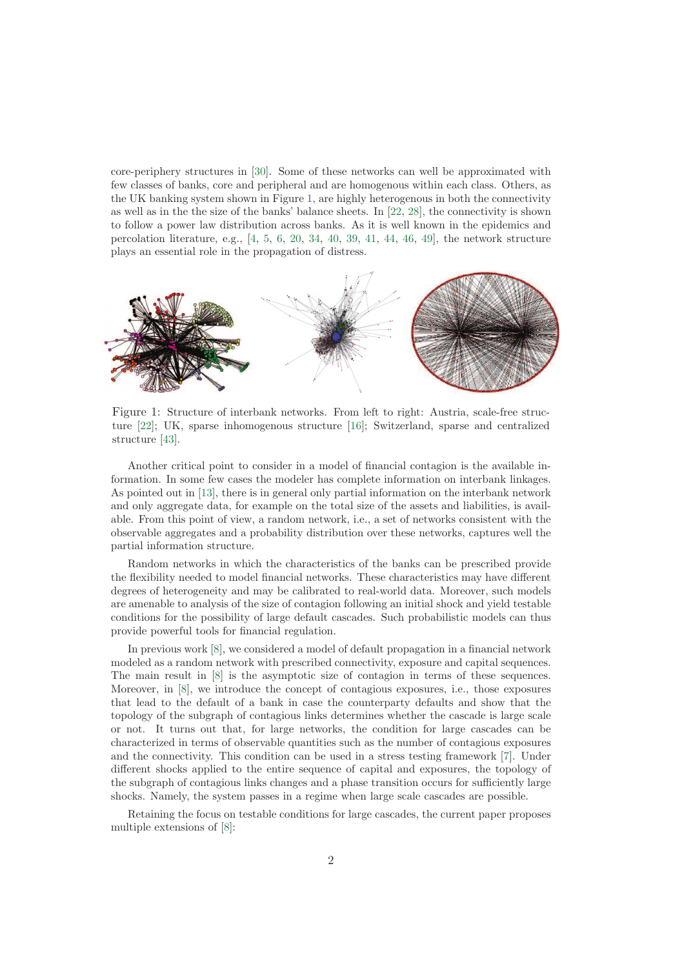core-periphery structures in [30]. Some of these networks can well be approximated with few classes of banks, core and peripheral and are homogenous within each class. Others, as the UK banking system shown in Figure 1, are highly heterogenous in both the connectivity as well as in the the size of the banks' balance sheets. In [22, 28], the connectivity is shown to follow a power law distribution across banks. As it is well known in the epidemics and percolation literature, e.g.,  $[4, 5, 6, 20, 34, 40, 39, 41, 44, 46, 49]$ , the network structure plays an essential role in the propagation of distress.



Figure 1: Structure of interbank networks. From left to right: Austria, scale-free structure [22]; UK, sparse inhomogenous structure [16]; Switzerland, sparse and centralized structure [43].

Another critical point to consider in a model of financial contagion is the available information. In some few cases the modeler has complete information on interbank linkages. As pointed out in [13], there is in general only partial information on the interbank network and only aggregate data, for example on the total size of the assets and liabilities, is available. From this point of view, a random network, i.e., a set of networks consistent with the observable aggregates and a probability distribution over these networks, captures well the partial information structure.

Random networks in which the characteristics of the banks can be prescribed provide the flexibility needed to model financial networks. These characteristics may have different degrees of heterogeneity and may be calibrated to real-world data. Moreover, such models are amenable to analysis of the size of contagion following an initial shock and yield testable conditions for the possibility of large default cascades. Such probabilistic models can thus provide powerful tools for financial regulation.

In previous work [8], we considered a model of default propagation in a financial network modeled as a random network with prescribed connectivity, exposure and capital sequences. The main result in [8] is the asymptotic size of contagion in terms of these sequences. Moreover, in [8], we introduce the concept of contagious exposures, i.e., those exposures that lead to the default of a bank in case the counterparty defaults and show that the topology of the subgraph of contagious links determines whether the cascade is large scale or not. It turns out that, for large networks, the condition for large cascades can be characterized in terms of observable quantities such as the number of contagious exposures and the connectivity. This condition can be used in a stress testing framework [7]. Under different shocks applied to the entire sequence of capital and exposures, the topology of the subgraph of contagious links changes and a phase transition occurs for sufficiently large shocks. Namely, the system passes in a regime when large scale cascades are possible.

Retaining the focus on testable conditions for large cascades, the current paper proposes multiple extensions of [8]: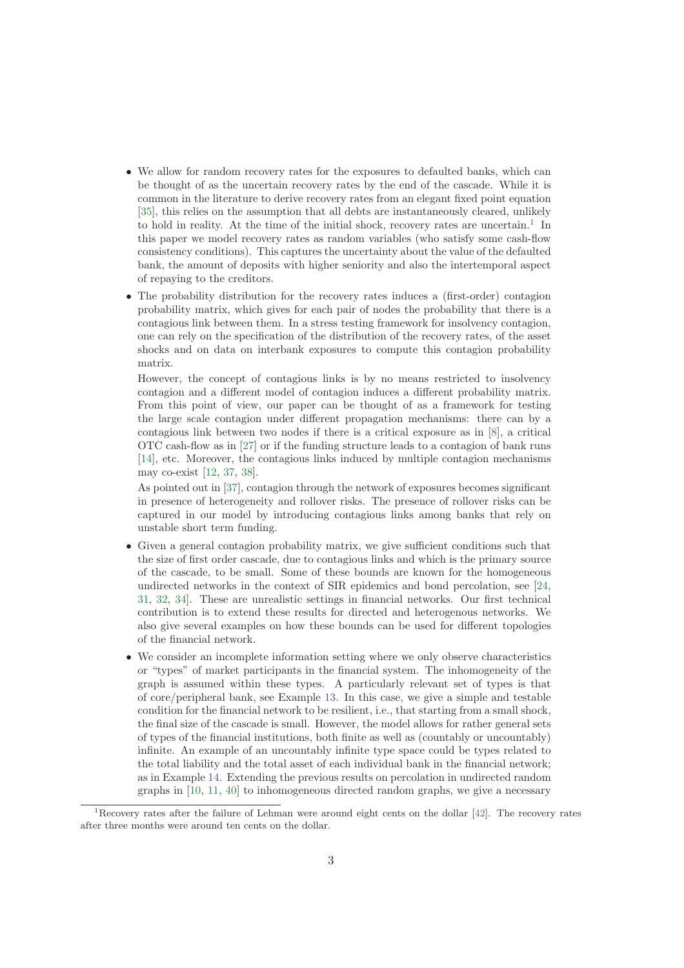- We allow for random recovery rates for the exposures to defaulted banks, which can be thought of as the uncertain recovery rates by the end of the cascade. While it is common in the literature to derive recovery rates from an elegant fixed point equation [35], this relies on the assumption that all debts are instantaneously cleared, unlikely to hold in reality. At the time of the initial shock, recovery rates are uncertain.<sup>1</sup> In this paper we model recovery rates as random variables (who satisfy some cash-flow consistency conditions). This captures the uncertainty about the value of the defaulted bank, the amount of deposits with higher seniority and also the intertemporal aspect of repaying to the creditors.
- The probability distribution for the recovery rates induces a (first-order) contagion probability matrix, which gives for each pair of nodes the probability that there is a contagious link between them. In a stress testing framework for insolvency contagion, one can rely on the specification of the distribution of the recovery rates, of the asset shocks and on data on interbank exposures to compute this contagion probability matrix.

However, the concept of contagious links is by no means restricted to insolvency contagion and a different model of contagion induces a different probability matrix. From this point of view, our paper can be thought of as a framework for testing the large scale contagion under different propagation mechanisms: there can by a contagious link between two nodes if there is a critical exposure as in [8], a critical OTC cash-flow as in [27] or if the funding structure leads to a contagion of bank runs [14], etc. Moreover, the contagious links induced by multiple contagion mechanisms may co-exist [12, 37, 38].

As pointed out in [37], contagion through the network of exposures becomes significant in presence of heterogeneity and rollover risks. The presence of rollover risks can be captured in our model by introducing contagious links among banks that rely on unstable short term funding.

- Given a general contagion probability matrix, we give sufficient conditions such that the size of first order cascade, due to contagious links and which is the primary source of the cascade, to be small. Some of these bounds are known for the homogeneous undirected networks in the context of SIR epidemics and bond percolation, see [24, 31, 32, 34]. These are unrealistic settings in financial networks. Our first technical contribution is to extend these results for directed and heterogenous networks. We also give several examples on how these bounds can be used for different topologies of the financial network.
- We consider an incomplete information setting where we only observe characteristics or "types" of market participants in the financial system. The inhomogeneity of the graph is assumed within these types. A particularly relevant set of types is that of core/peripheral bank, see Example 13. In this case, we give a simple and testable condition for the financial network to be resilient, i.e., that starting from a small shock, the final size of the cascade is small. However, the model allows for rather general sets of types of the financial institutions, both finite as well as (countably or uncountably) infinite. An example of an uncountably infinite type space could be types related to the total liability and the total asset of each individual bank in the financial network; as in Example 14. Extending the previous results on percolation in undirected random graphs in [10, 11, 40] to inhomogeneous directed random graphs, we give a necessary

<sup>&</sup>lt;sup>1</sup>Recovery rates after the failure of Lehman were around eight cents on the dollar [42]. The recovery rates after three months were around ten cents on the dollar.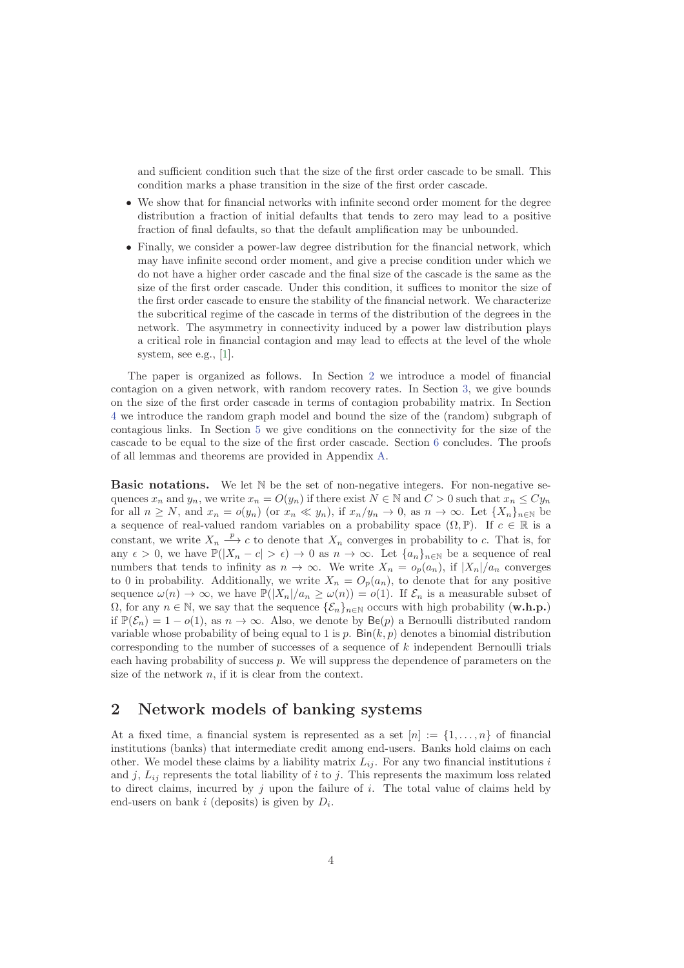and sufficient condition such that the size of the first order cascade to be small. This condition marks a phase transition in the size of the first order cascade.

- We show that for financial networks with infinite second order moment for the degree distribution a fraction of initial defaults that tends to zero may lead to a positive fraction of final defaults, so that the default amplification may be unbounded.
- Finally, we consider a power-law degree distribution for the financial network, which may have infinite second order moment, and give a precise condition under which we do not have a higher order cascade and the final size of the cascade is the same as the size of the first order cascade. Under this condition, it suffices to monitor the size of the first order cascade to ensure the stability of the financial network. We characterize the subcritical regime of the cascade in terms of the distribution of the degrees in the network. The asymmetry in connectivity induced by a power law distribution plays a critical role in financial contagion and may lead to effects at the level of the whole system, see e.g., [1].

The paper is organized as follows. In Section 2 we introduce a model of financial contagion on a given network, with random recovery rates. In Section 3, we give bounds on the size of the first order cascade in terms of contagion probability matrix. In Section 4 we introduce the random graph model and bound the size of the (random) subgraph of contagious links. In Section 5 we give conditions on the connectivity for the size of the cascade to be equal to the size of the first order cascade. Section 6 concludes. The proofs of all lemmas and theorems are provided in Appendix A.

**Basic notations.** We let  $\mathbb N$  be the set of non-negative integers. For non-negative sequences  $x_n$  and  $y_n$ , we write  $x_n = O(y_n)$  if there exist  $N \in \mathbb{N}$  and  $C > 0$  such that  $x_n \leq Cy_n$ for all  $n \geq N$ , and  $x_n = o(y_n)$  (or  $x_n \ll y_n$ ), if  $x_n/y_n \to 0$ , as  $n \to \infty$ . Let  $\{X_n\}_{n \in \mathbb{N}}$  be a sequence of real-valued random variables on a probability space  $(\Omega, \mathbb{P})$ . If  $c \in \mathbb{R}$  is a constant, we write  $X_n \xrightarrow{p} c$  to denote that  $X_n$  converges in probability to c. That is, for any  $\epsilon > 0$ , we have  $\mathbb{P}(|X_n - c| > \epsilon) \to 0$  as  $n \to \infty$ . Let  $\{a_n\}_{n \in \mathbb{N}}$  be a sequence of real numbers that tends to infinity as  $n \to \infty$ . We write  $X_n = o_p(a_n)$ , if  $|X_n|/a_n$  converges to 0 in probability. Additionally, we write  $X_n = O_p(a_n)$ , to denote that for any positive sequence  $\omega(n) \to \infty$ , we have  $\mathbb{P}(|X_n|/a_n \geq \omega(n)) = o(1)$ . If  $\mathcal{E}_n$  is a measurable subset of  $\Omega$ , for any  $n \in \mathbb{N}$ , we say that the sequence  $\{\mathcal{E}_n\}_{n\in\mathbb{N}}$  occurs with high probability (**w.h.p.**) if  $\mathbb{P}(\mathcal{E}_n) = 1 - o(1)$ , as  $n \to \infty$ . Also, we denote by  $\text{Be}(p)$  a Bernoulli distributed random variable whose probability of being equal to 1 is p.  $\text{Bin}(k, p)$  denotes a binomial distribution corresponding to the number of successes of a sequence of  $k$  independent Bernoulli trials each having probability of success p. We will suppress the dependence of parameters on the size of the network  $n$ , if it is clear from the context.

# 2 Network models of banking systems

At a fixed time, a financial system is represented as a set  $[n] := \{1, \ldots, n\}$  of financial institutions (banks) that intermediate credit among end-users. Banks hold claims on each other. We model these claims by a liability matrix  $L_{ij}$ . For any two financial institutions i and  $j$ ,  $L_{ij}$  represents the total liability of i to j. This represents the maximum loss related to direct claims, incurred by  $j$  upon the failure of i. The total value of claims held by end-users on bank *i* (deposits) is given by  $D_i$ .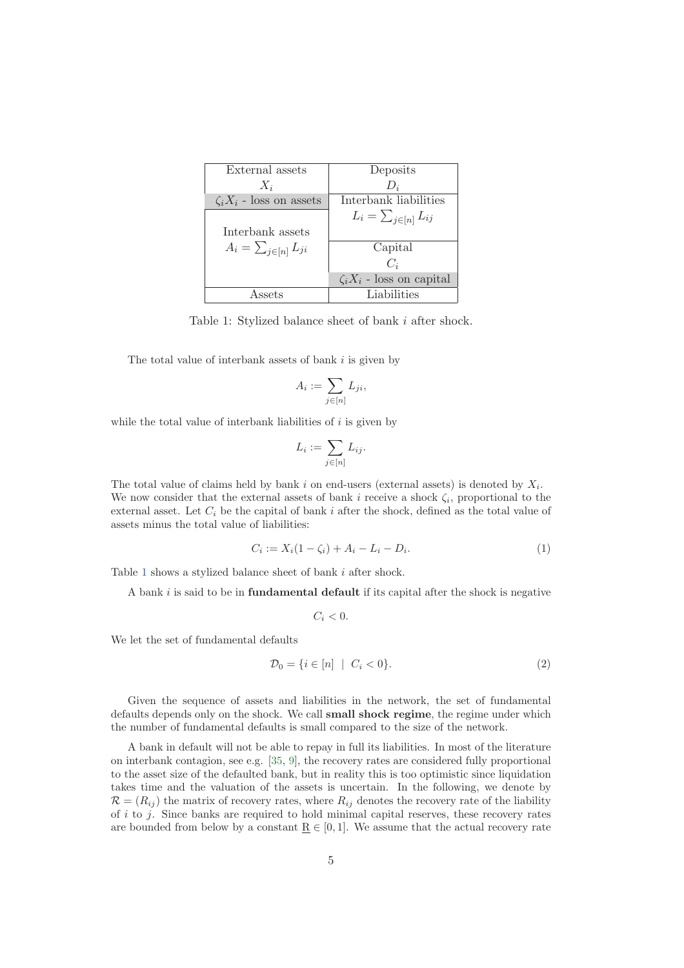| External assets                 | Deposits                        |
|---------------------------------|---------------------------------|
| $X_i$                           | $D_i$                           |
| $\zeta_i X_i$ - loss on assets  | Interbank liabilities           |
|                                 | $L_i = \sum_{j \in [n]} L_{ij}$ |
| Interbank assets                |                                 |
| $A_i = \sum_{j \in [n]} L_{ji}$ | Capital                         |
|                                 | $C_i$                           |
|                                 | $\zeta_i X_i$ - loss on capital |
| Assets                          | Liabilities                     |

Table 1: Stylized balance sheet of bank i after shock.

The total value of interbank assets of bank  $i$  is given by

$$
A_i := \sum_{j \in [n]} L_{ji},
$$

while the total value of interbank liabilities of  $i$  is given by

$$
L_i := \sum_{j \in [n]} L_{ij}.
$$

The total value of claims held by bank i on end-users (external assets) is denoted by  $X_i$ . We now consider that the external assets of bank i receive a shock  $\zeta_i$ , proportional to the external asset. Let  $C_i$  be the capital of bank i after the shock, defined as the total value of assets minus the total value of liabilities:

$$
C_i := X_i(1 - \zeta_i) + A_i - L_i - D_i.
$$
 (1)

Table 1 shows a stylized balance sheet of bank i after shock.

A bank  $i$  is said to be in **fundamental default** if its capital after the shock is negative

$$
C_i<0.
$$

We let the set of fundamental defaults

$$
\mathcal{D}_0 = \{ i \in [n] \mid C_i < 0 \}. \tag{2}
$$

Given the sequence of assets and liabilities in the network, the set of fundamental defaults depends only on the shock. We call small shock regime, the regime under which the number of fundamental defaults is small compared to the size of the network.

A bank in default will not be able to repay in full its liabilities. In most of the literature on interbank contagion, see e.g. [35, 9], the recovery rates are considered fully proportional to the asset size of the defaulted bank, but in reality this is too optimistic since liquidation takes time and the valuation of the assets is uncertain. In the following, we denote by  $\mathcal{R} = (R_{ij})$  the matrix of recovery rates, where  $R_{ij}$  denotes the recovery rate of the liability of  $i$  to  $j$ . Since banks are required to hold minimal capital reserves, these recovery rates are bounded from below by a constant  $\underline{R} \in [0,1]$ . We assume that the actual recovery rate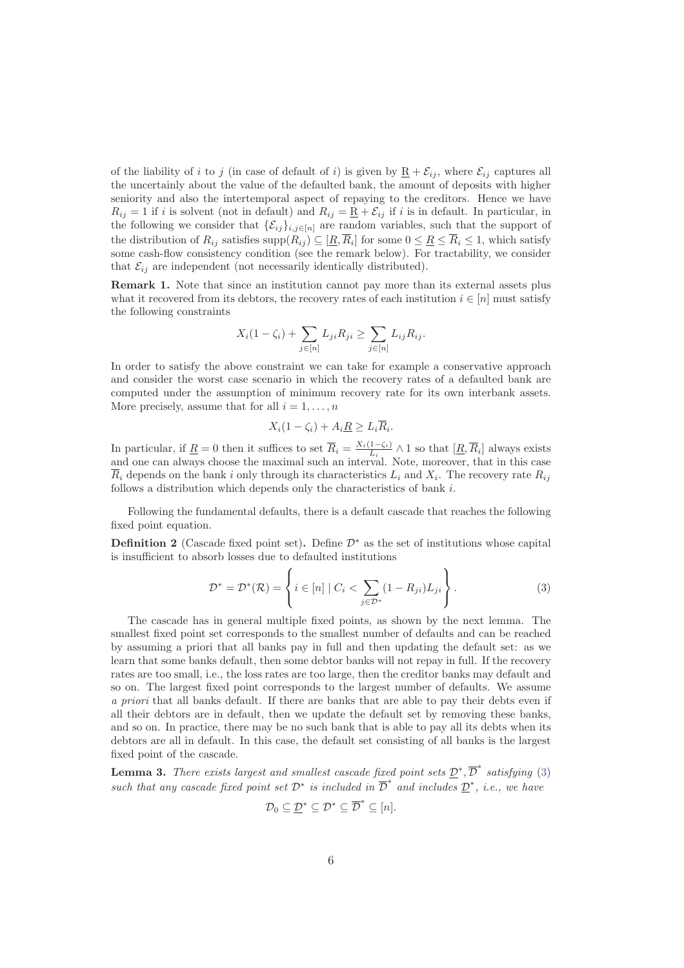of the liability of i to j (in case of default of i) is given by  $\underline{R} + \mathcal{E}_{ij}$ , where  $\mathcal{E}_{ij}$  captures all the uncertainly about the value of the defaulted bank, the amount of deposits with higher seniority and also the intertemporal aspect of repaying to the creditors. Hence we have  $R_{ij} = 1$  if i is solvent (not in default) and  $R_{ij} = \underline{R} + \mathcal{E}_{ij}$  if i is in default. In particular, in the following we consider that  $\{\mathcal{E}_{ij}\}_{i,j\in[n]}$  are random variables, such that the support of the distribution of  $R_{ij}$  satisfies  $\text{supp}(R_{ij}) \subseteq [R, R_i]$  for some  $0 \leq R \leq R_i \leq 1$ , which satisfy some cash-flow consistency condition (see the remark below). For tractability, we consider that  $\mathcal{E}_{ij}$  are independent (not necessarily identically distributed).

Remark 1. Note that since an institution cannot pay more than its external assets plus what it recovered from its debtors, the recovery rates of each institution  $i \in [n]$  must satisfy the following constraints

$$
X_i(1 - \zeta_i) + \sum_{j \in [n]} L_{ji} R_{ji} \ge \sum_{j \in [n]} L_{ij} R_{ij}.
$$

In order to satisfy the above constraint we can take for example a conservative approach and consider the worst case scenario in which the recovery rates of a defaulted bank are computed under the assumption of minimum recovery rate for its own interbank assets. More precisely, assume that for all  $i = 1, \ldots, n$ 

$$
X_i(1 - \zeta_i) + A_i \underline{R} \ge L_i \overline{R}_i.
$$

In particular, if  $\underline{R} = 0$  then it suffices to set  $\overline{R}_i = \frac{X_i(1-\zeta_i)}{L_i} \wedge 1$  so that  $[\underline{R}, \overline{R}_i]$  always exists and one can always choose the maximal such an interval. Note, moreover, that in this case  $R_i$  depends on the bank i only through its characteristics  $L_i$  and  $X_i$ . The recovery rate  $R_{ij}$ follows a distribution which depends only the characteristics of bank  $i$ .

Following the fundamental defaults, there is a default cascade that reaches the following fixed point equation.

**Definition 2** (Cascade fixed point set). Define  $\mathcal{D}^*$  as the set of institutions whose capital is insufficient to absorb losses due to defaulted institutions

$$
\mathcal{D}^* = \mathcal{D}^*(\mathcal{R}) = \left\{ i \in [n] \mid C_i < \sum_{j \in \mathcal{D}^*} (1 - R_{ji}) L_{ji} \right\}.
$$
\n
$$
(3)
$$

The cascade has in general multiple fixed points, as shown by the next lemma. The smallest fixed point set corresponds to the smallest number of defaults and can be reached by assuming a priori that all banks pay in full and then updating the default set: as we learn that some banks default, then some debtor banks will not repay in full. If the recovery rates are too small, i.e., the loss rates are too large, then the creditor banks may default and so on. The largest fixed point corresponds to the largest number of defaults. We assume *a priori* that all banks default. If there are banks that are able to pay their debts even if all their debtors are in default, then we update the default set by removing these banks, and so on. In practice, there may be no such bank that is able to pay all its debts when its debtors are all in default. In this case, the default set consisting of all banks is the largest fixed point of the cascade.

**Lemma 3.** There exists largest and smallest cascade fixed point sets  $D^*, \overline{D}^*$  satisfying (3) *such that any cascade fixed point set*  $\mathcal{D}^*$  *is included in*  $\overline{\mathcal{D}}^*$  *and includes*  $\underline{\mathcal{D}}^*$ *, i.e., we have* 

$$
\mathcal{D}_0\subseteq \underline{\mathcal{D}}^*\subseteq \mathcal{D}^*\subseteq \overline{\mathcal{D}}^*\subseteq [n].
$$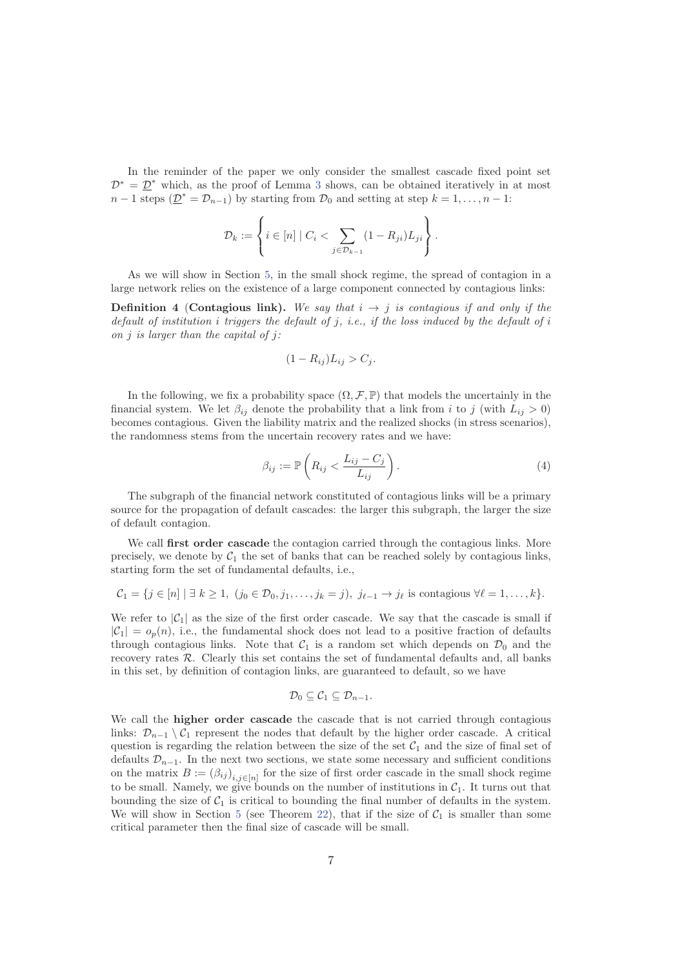In the reminder of the paper we only consider the smallest cascade fixed point set  $\mathcal{D}^* = \underline{\mathcal{D}}^*$  which, as the proof of Lemma 3 shows, can be obtained iteratively in at most  $n-1$  steps  $(\underline{\mathcal{D}}^* = \mathcal{D}_{n-1})$  by starting from  $\mathcal{D}_0$  and setting at step  $k = 1, ..., n-1$ :

$$
\mathcal{D}_k := \left\{ i \in [n] \mid C_i < \sum_{j \in \mathcal{D}_{k-1}} (1 - R_{ji}) L_{ji} \right\}.
$$

As we will show in Section 5, in the small shock regime, the spread of contagion in a large network relies on the existence of a large component connected by contagious links:

**Definition 4 (Contagious link).** We say that  $i \rightarrow j$  is contagious if and only if the *default of institution* i *triggers the default of* j*, i.e., if the loss induced by the default of* i *on* j *is larger than the capital of* j*:*

$$
(1 - R_{ij})L_{ij} > C_j.
$$

In the following, we fix a probability space  $(\Omega, \mathcal{F}, \mathbb{P})$  that models the uncertainly in the financial system. We let  $\beta_{ij}$  denote the probability that a link from i to j (with  $L_{ij} > 0$ ) becomes contagious. Given the liability matrix and the realized shocks (in stress scenarios), the randomness stems from the uncertain recovery rates and we have:

$$
\beta_{ij} := \mathbb{P}\left(R_{ij} < \frac{L_{ij} - C_j}{L_{ij}}\right). \tag{4}
$$

The subgraph of the financial network constituted of contagious links will be a primary source for the propagation of default cascades: the larger this subgraph, the larger the size of default contagion.

We call first order cascade the contagion carried through the contagious links. More precisely, we denote by  $C_1$  the set of banks that can be reached solely by contagious links, starting form the set of fundamental defaults, i.e.,

$$
C_1 = \{j \in [n] \mid \exists k \geq 1, (j_0 \in \mathcal{D}_0, j_1, \ldots, j_k = j), j_{\ell-1} \to j_{\ell} \text{ is contains } \forall \ell = 1, \ldots, k\}.
$$

We refer to  $|\mathcal{C}_1|$  as the size of the first order cascade. We say that the cascade is small if  $|\mathcal{C}_1| = o_p(n)$ , i.e., the fundamental shock does not lead to a positive fraction of defaults through contagious links. Note that  $C_1$  is a random set which depends on  $\mathcal{D}_0$  and the recovery rates R. Clearly this set contains the set of fundamental defaults and, all banks in this set, by definition of contagion links, are guaranteed to default, so we have

$$
\mathcal{D}_0\subseteq \mathcal{C}_1\subseteq \mathcal{D}_{n-1}.
$$

We call the higher order cascade the cascade that is not carried through contagious links:  $\mathcal{D}_{n-1} \setminus \mathcal{C}_1$  represent the nodes that default by the higher order cascade. A critical question is regarding the relation between the size of the set  $C_1$  and the size of final set of defaults  $\mathcal{D}_{n-1}$ . In the next two sections, we state some necessary and sufficient conditions on the matrix  $B := (\beta_{ij})_{i,j \in [n]}$  for the size of first order cascade in the small shock regime to be small. Namely, we give bounds on the number of institutions in  $C_1$ . It turns out that bounding the size of  $C_1$  is critical to bounding the final number of defaults in the system. We will show in Section 5 (see Theorem 22), that if the size of  $C_1$  is smaller than some critical parameter then the final size of cascade will be small.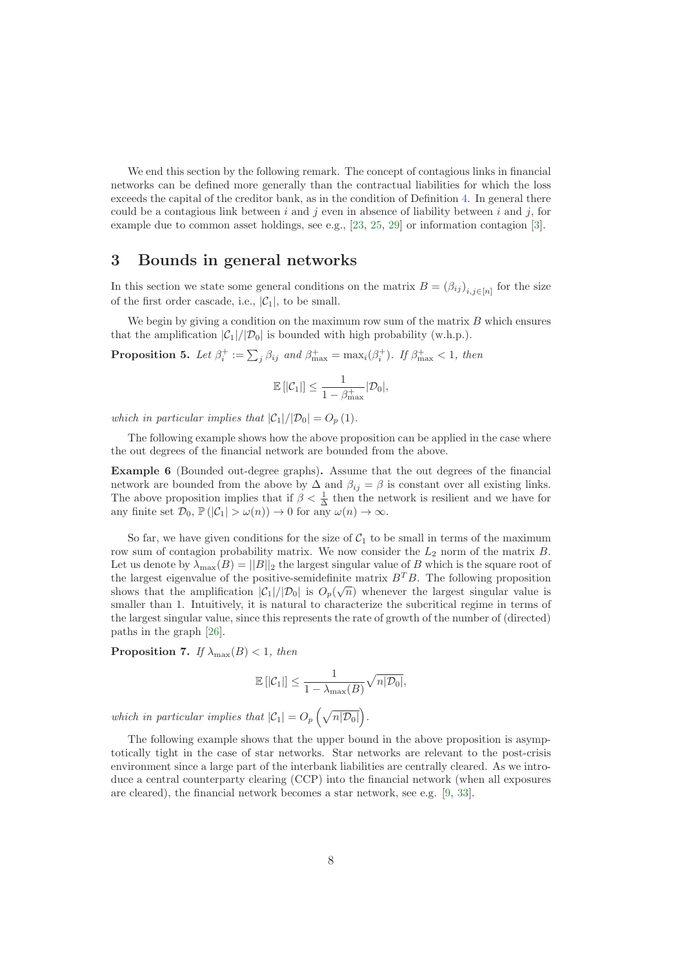We end this section by the following remark. The concept of contagious links in financial networks can be defined more generally than the contractual liabilities for which the loss exceeds the capital of the creditor bank, as in the condition of Definition 4. In general there could be a contagious link between i and j even in absence of liability between i and j, for example due to common asset holdings, see e.g., [23, 25, 29] or information contagion [3].

### 3 Bounds in general networks

In this section we state some general conditions on the matrix  $B = (\beta_{ij})_{i,j\in[n]}$  for the size of the first order cascade, i.e.,  $|\mathcal{C}_1|$ , to be small.

We begin by giving a condition on the maximum row sum of the matrix  $B$  which ensures that the amplification  $|\mathcal{C}_1|/|\mathcal{D}_0|$  is bounded with high probability (w.h.p.).

**Proposition 5.** Let  $\beta_i^+ := \sum_j \beta_{ij}$  and  $\beta_{\max}^+ = \max_i (\beta_i^+)$ . If  $\beta_{\max}^+ < 1$ , then

$$
\mathbb{E}\left[|\mathcal{C}_1|\right] \leq \frac{1}{1-\beta_{\max}^+}|\mathcal{D}_0|,
$$

*which in particular implies that*  $|\mathcal{C}_1|/|\mathcal{D}_0| = O_p(1)$ *.* 

The following example shows how the above proposition can be applied in the case where the out degrees of the financial network are bounded from the above.

Example 6 (Bounded out-degree graphs). Assume that the out degrees of the financial network are bounded from the above by  $\Delta$  and  $\beta_{ij} = \beta$  is constant over all existing links. The above proposition implies that if  $\beta < \frac{1}{\Delta}$  then the network is resilient and we have for any finite set  $\mathcal{D}_0$ ,  $\mathbb{P}(|\mathcal{C}_1| > \omega(n)) \to 0$  for any  $\omega(n) \to \infty$ .

So far, we have given conditions for the size of  $C_1$  to be small in terms of the maximum row sum of contagion probability matrix. We now consider the  $L_2$  norm of the matrix B. Let us denote by  $\lambda_{\max}(B) = ||B||_2$  the largest singular value of B which is the square root of the largest eigenvalue of the positive-semidefinite matrix  $B<sup>T</sup>B$ . The following proposition shows that the amplification  $|\mathcal{C}_1|/|\mathcal{D}_0|$  is  $O_p(\sqrt{n})$  whenever the largest singular value is smaller than 1. Intuitively, it is natural to characterize the subcritical regime in terms of the largest singular value, since this represents the rate of growth of the number of (directed) paths in the graph [26].

**Proposition 7.** *If*  $\lambda_{\text{max}}(B) < 1$ *, then* 

$$
\mathbb{E}\left[|\mathcal{C}_1|\right] \le \frac{1}{1 - \lambda_{\max}(B)} \sqrt{n|\mathcal{D}_0|},
$$

which in particular implies that  $|\mathcal{C}_1| = O_p\left(\sqrt{n|\mathcal{D}_0|}\right)$ .

The following example shows that the upper bound in the above proposition is asymptotically tight in the case of star networks. Star networks are relevant to the post-crisis environment since a large part of the interbank liabilities are centrally cleared. As we introduce a central counterparty clearing (CCP) into the financial network (when all exposures are cleared), the financial network becomes a star network, see e.g. [9, 33].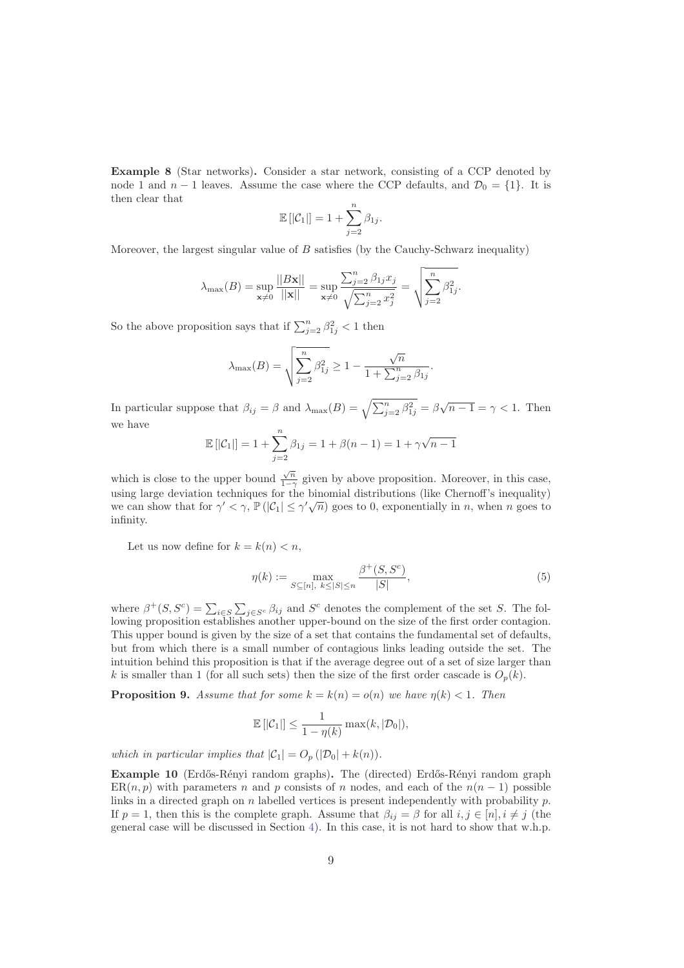Example 8 (Star networks). Consider a star network, consisting of a CCP denoted by node 1 and  $n-1$  leaves. Assume the case where the CCP defaults, and  $\mathcal{D}_0 = \{1\}$ . It is then clear that

$$
\mathbb{E}\left[|\mathcal{C}_1|\right] = 1 + \sum_{j=2}^n \beta_{1j}.
$$

Moreover, the largest singular value of  $B$  satisfies (by the Cauchy-Schwarz inequality)

$$
\lambda_{\max}(B) = \sup_{\mathbf{x} \neq 0} \frac{||B\mathbf{x}||}{||\mathbf{x}||} = \sup_{\mathbf{x} \neq 0} \frac{\sum_{j=2}^{n} \beta_{1j} x_j}{\sqrt{\sum_{j=2}^{n} x_j^2}} = \sqrt{\sum_{j=2}^{n} \beta_{1j}^2}.
$$

So the above proposition says that if  $\sum_{j=2}^{n} \beta_{1j}^2 < 1$  then

$$
\lambda_{\max}(B) = \sqrt{\sum_{j=2}^{n} \beta_{1j}^2} \ge 1 - \frac{\sqrt{n}}{1 + \sum_{j=2}^{n} \beta_{1j}}.
$$

In particular suppose that  $\beta_{ij} = \beta$  and  $\lambda_{\max}(B) = \sqrt{\sum_{j=2}^n \beta_{1j}^2} = \beta \sqrt{n-1} = \gamma < 1$ . Then we have

$$
\mathbb{E}\left[|\mathcal{C}_1|\right] = 1 + \sum_{j=2}^{n} \beta_{1j} = 1 + \beta(n-1) = 1 + \gamma\sqrt{n-1}
$$

which is close to the upper bound  $\frac{\sqrt{n}}{1-\gamma}$  given by above proposition. Moreover, in this case, using large deviation techniques for the binomial distributions (like Chernoff's inequality) we can show that for  $\gamma' < \gamma$ ,  $\mathbb{P}(|C_1| \leq \gamma' \sqrt{n})$  goes to 0, exponentially in *n*, when *n* goes to infinity.

Let us now define for  $k = k(n) < n$ ,

$$
\eta(k) := \max_{S \subseteq [n], \ k \le |S| \le n} \frac{\beta^+(S, S^c)}{|S|},\tag{5}
$$

where  $\beta^+(S, S^c) = \sum_{i \in S} \sum_{j \in S^c} \beta_{ij}$  and  $S^c$  denotes the complement of the set S. The following proposition establishes another upper-bound on the size of the first order contagion. This upper bound is given by the size of a set that contains the fundamental set of defaults, but from which there is a small number of contagious links leading outside the set. The intuition behind this proposition is that if the average degree out of a set of size larger than k is smaller than 1 (for all such sets) then the size of the first order cascade is  $O_n(k)$ .

**Proposition 9.** Assume that for some  $k = k(n) = o(n)$  we have  $\eta(k) < 1$ . Then

$$
\mathbb{E}\left[|\mathcal{C}_1|\right] \le \frac{1}{1-\eta(k)}\max(k,|\mathcal{D}_0|),
$$

*which in particular implies that*  $|\mathcal{C}_1| = O_p(|\mathcal{D}_0| + k(n)).$ 

Example 10 (Erdős-Rényi random graphs). The (directed) Erdős-Rényi random graph ER(n, p) with parameters n and p consists of n nodes, and each of the  $n(n-1)$  possible links in a directed graph on  $n$  labelled vertices is present independently with probability  $p$ . If  $p = 1$ , then this is the complete graph. Assume that  $\beta_{ij} = \beta$  for all  $i, j \in [n], i \neq j$  (the general case will be discussed in Section 4). In this case, it is not hard to show that w.h.p.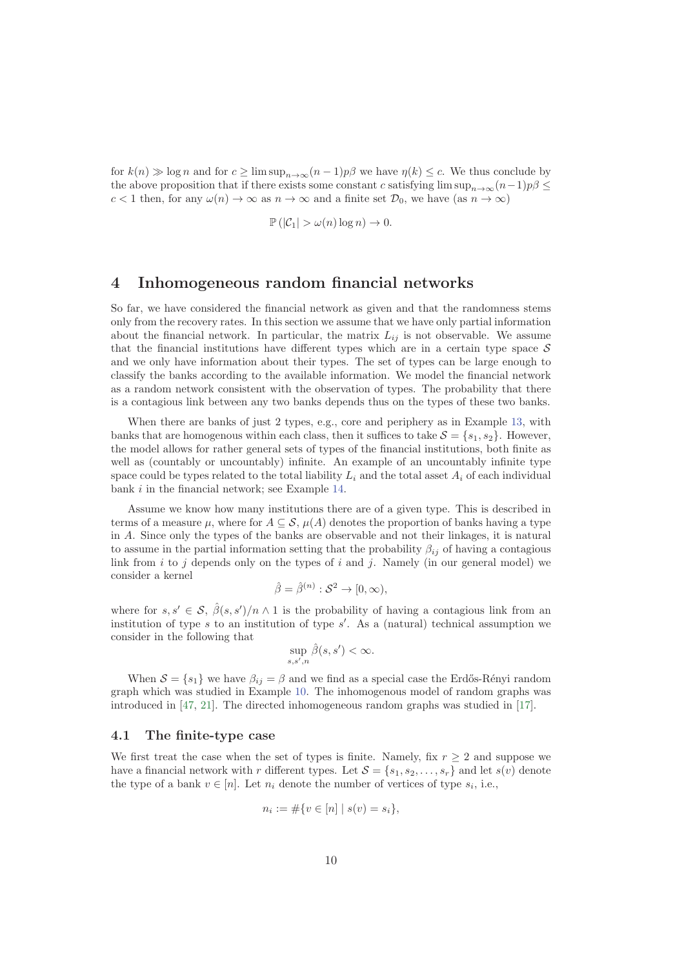for  $k(n) \gg \log n$  and for  $c \geq \limsup_{n \to \infty} (n-1)p\beta$  we have  $\eta(k) \leq c$ . We thus conclude by the above proposition that if there exists some constant c satisfying  $\limsup_{n\to\infty} (n-1)p\beta \leq$  $c < 1$  then, for any  $\omega(n) \to \infty$  as  $n \to \infty$  and a finite set  $\mathcal{D}_0$ , we have  $(as n \to \infty)$ 

$$
\mathbb{P}\left(|\mathcal{C}_1| > \omega(n) \log n\right) \to 0.
$$

## 4 Inhomogeneous random financial networks

So far, we have considered the financial network as given and that the randomness stems only from the recovery rates. In this section we assume that we have only partial information about the financial network. In particular, the matrix  $L_{ij}$  is not observable. We assume that the financial institutions have different types which are in a certain type space  $S$ and we only have information about their types. The set of types can be large enough to classify the banks according to the available information. We model the financial network as a random network consistent with the observation of types. The probability that there is a contagious link between any two banks depends thus on the types of these two banks.

When there are banks of just 2 types, e.g., core and periphery as in Example 13, with banks that are homogenous within each class, then it suffices to take  $S = \{s_1, s_2\}$ . However, the model allows for rather general sets of types of the financial institutions, both finite as well as (countably or uncountably) infinite. An example of an uncountably infinite type space could be types related to the total liability  $L_i$  and the total asset  $A_i$  of each individual bank i in the financial network; see Example 14.

Assume we know how many institutions there are of a given type. This is described in terms of a measure  $\mu$ , where for  $A \subseteq \mathcal{S}$ ,  $\mu(A)$  denotes the proportion of banks having a type in A. Since only the types of the banks are observable and not their linkages, it is natural to assume in the partial information setting that the probability  $\beta_{ij}$  of having a contagious link from  $i$  to j depends only on the types of  $i$  and  $j$ . Namely (in our general model) we consider a kernel

$$
\hat{\beta} = \hat{\beta}^{(n)} : \mathcal{S}^2 \to [0, \infty),
$$

where for  $s, s' \in S$ ,  $\hat{\beta}(s, s')/n \wedge 1$  is the probability of having a contagious link from an institution of type s to an institution of type  $s'$ . As a (natural) technical assumption we consider in the following that

$$
\sup_{s,s',n} \hat{\beta}(s,s') < \infty.
$$

When  $S = \{s_1\}$  we have  $\beta_{ij} = \beta$  and we find as a special case the Erdős-Rényi random graph which was studied in Example 10. The inhomogenous model of random graphs was introduced in [47, 21]. The directed inhomogeneous random graphs was studied in [17].

#### 4.1 The finite-type case

We first treat the case when the set of types is finite. Namely, fix  $r \geq 2$  and suppose we have a financial network with r different types. Let  $S = \{s_1, s_2, \ldots, s_r\}$  and let  $s(v)$  denote the type of a bank  $v \in [n]$ . Let  $n_i$  denote the number of vertices of type  $s_i$ , i.e.,

$$
n_i := #\{v \in [n] \mid s(v) = s_i\},\
$$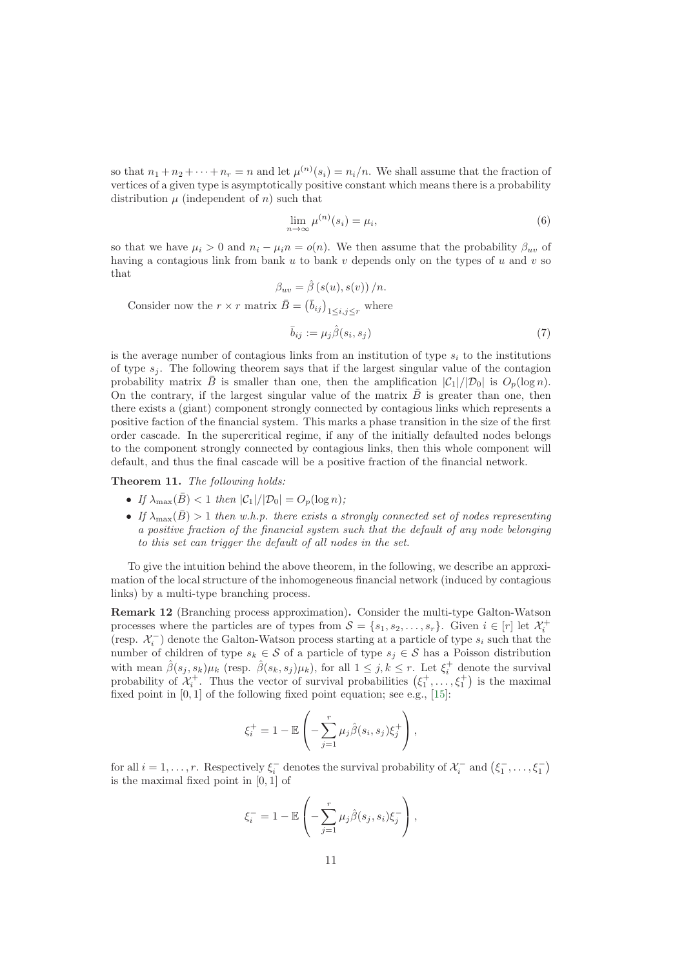so that  $n_1 + n_2 + \cdots + n_r = n$  and let  $\mu^{(n)}(s_i) = n_i/n$ . We shall assume that the fraction of vertices of a given type is asymptotically positive constant which means there is a probability distribution  $\mu$  (independent of n) such that

$$
\lim_{n \to \infty} \mu^{(n)}(s_i) = \mu_i,\tag{6}
$$

so that we have  $\mu_i > 0$  and  $n_i - \mu_i n = o(n)$ . We then assume that the probability  $\beta_{uv}$  of having a contagious link from bank  $u$  to bank  $v$  depends only on the types of  $u$  and  $v$  so that

$$
\beta_{uv} = \hat{\beta}\left(s(u), s(v)\right)/n.
$$

Consider now the  $r \times r$  matrix  $\overline{B} = \left(\overline{b}_{ij}\right)_{1 \le i,j \le r}$  where

$$
\bar{b}_{ij} := \mu_j \hat{\beta}(s_i, s_j) \tag{7}
$$

is the average number of contagious links from an institution of type  $s_i$  to the institutions of type  $s_j$ . The following theorem says that if the largest singular value of the contagion probability matrix  $\bar{B}$  is smaller than one, then the amplification  $|\mathcal{C}_1|/|\mathcal{D}_0|$  is  $O_p(\log n)$ . On the contrary, if the largest singular value of the matrix  $\bar{B}$  is greater than one, then there exists a (giant) component strongly connected by contagious links which represents a positive faction of the financial system. This marks a phase transition in the size of the first order cascade. In the supercritical regime, if any of the initially defaulted nodes belongs to the component strongly connected by contagious links, then this whole component will default, and thus the final cascade will be a positive fraction of the financial network.

Theorem 11. *The following holds:*

- *If*  $\lambda_{\max}(\bar{B}) < 1$  *then*  $|\mathcal{C}_1|/|\mathcal{D}_0| = O_n(\log n)$ ;
- *If*  $\lambda_{\max}(\bar{B}) > 1$  *then w.h.p. there exists a strongly connected set of nodes representing a positive fraction of the financial system such that the default of any node belonging to this set can trigger the default of all nodes in the set.*

To give the intuition behind the above theorem, in the following, we describe an approximation of the local structure of the inhomogeneous financial network (induced by contagious links) by a multi-type branching process.

Remark 12 (Branching process approximation). Consider the multi-type Galton-Watson processes where the particles are of types from  $S = \{s_1, s_2, \ldots, s_r\}$ . Given  $i \in [r]$  let  $\mathcal{X}_i^+$ (resp.  $\mathcal{X}_i^-$ ) denote the Galton-Watson process starting at a particle of type  $s_i$  such that the number of children of type  $s_k \in \mathcal{S}$  of a particle of type  $s_j \in \mathcal{S}$  has a Poisson distribution with mean  $\hat{\beta}(s_j, s_k) \mu_k$  (resp.  $\hat{\beta}(s_k, s_j) \mu_k$ ), for all  $1 \leq j, k \leq r$ . Let  $\xi_i^+$  denote the survival probability of  $\mathcal{X}_i^+$ . Thus the vector of survival probabilities  $(\xi_1^+,\ldots,\xi_1^+)$  is the maximal fixed point in [0, 1] of the following fixed point equation; see e.g., [15]:

$$
\xi_i^+ = 1 - \mathbb{E}\left(-\sum_{j=1}^r \mu_j \hat{\beta}(s_i, s_j)\xi_j^+\right),
$$

for all  $i = 1, \ldots, r$ . Respectively  $\xi_i^-$  denotes the survival probability of  $\mathcal{X}_i^-$  and  $(\xi_1^-,\ldots,\xi_1^-)$ is the maximal fixed point in [0, 1] of

$$
\xi_i^- = 1 - \mathbb{E}\left(-\sum_{j=1}^r \mu_j \hat{\beta}(s_j, s_i)\xi_j^-\right),\,
$$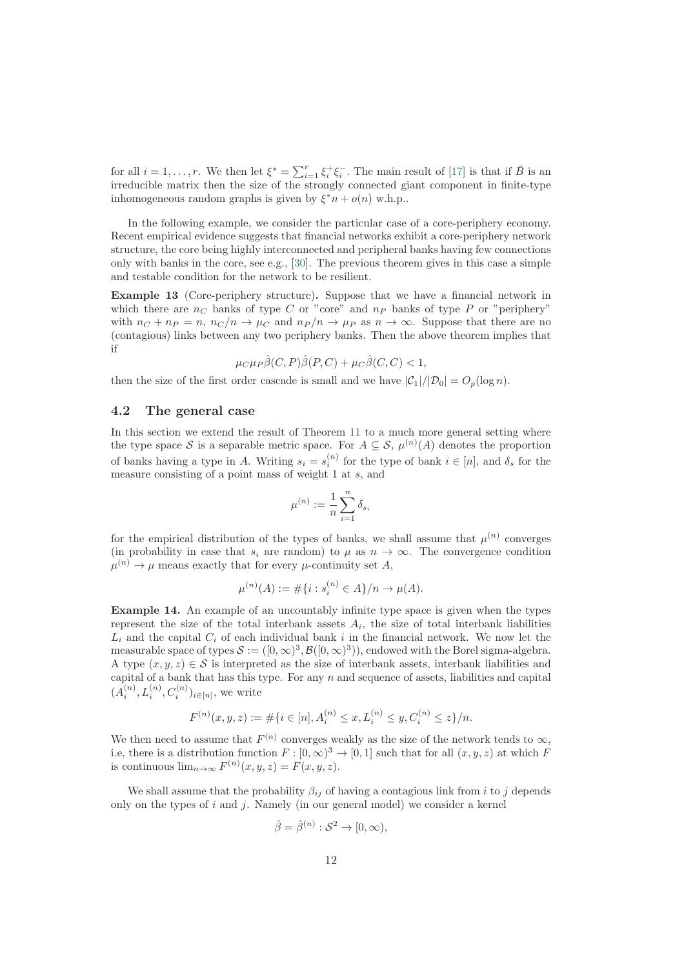for all  $i = 1, \ldots, r$ . We then let  $\xi^* = \sum_{i=1}^r \xi_i^+ \xi_i^-$ . The main result of [17] is that if  $\overline{B}$  is an irreducible matrix then the size of the strongly connected giant component in finite-type inhomogeneous random graphs is given by  $\xi^* n + o(n)$  w.h.p..

In the following example, we consider the particular case of a core-periphery economy. Recent empirical evidence suggests that financial networks exhibit a core-periphery network structure, the core being highly interconnected and peripheral banks having few connections only with banks in the core, see e.g., [30]. The previous theorem gives in this case a simple and testable condition for the network to be resilient.

Example 13 (Core-periphery structure). Suppose that we have a financial network in which there are  $n_C$  banks of type C or "core" and  $n_P$  banks of type P or "periphery" with  $n_C + n_P = n$ ,  $n_C/n \rightarrow \mu_C$  and  $n_P/n \rightarrow \mu_P$  as  $n \rightarrow \infty$ . Suppose that there are no (contagious) links between any two periphery banks. Then the above theorem implies that if

$$
\mu_C \mu_P \hat{\beta}(C, P) \hat{\beta}(P, C) + \mu_C \hat{\beta}(C, C) < 1,
$$

then the size of the first order cascade is small and we have  $|\mathcal{C}_1|/|\mathcal{D}_0| = O_p(\log n)$ .

### 4.2 The general case

In this section we extend the result of Theorem 11 to a much more general setting where the type space S is a separable metric space. For  $A \subseteq S$ ,  $\mu^{(n)}(A)$  denotes the proportion of banks having a type in A. Writing  $s_i = s_i^{(n)}$  for the type of bank  $i \in [n]$ , and  $\delta_s$  for the measure consisting of a point mass of weight 1 at s, and

$$
\mu^{(n)}:=\frac{1}{n}\sum_{i=1}^n \delta_{s_i}
$$

for the empirical distribution of the types of banks, we shall assume that  $\mu^{(n)}$  converges (in probability in case that  $s_i$  are random) to  $\mu$  as  $n \to \infty$ . The convergence condition  $\mu^{(n)} \to \mu$  means exactly that for every  $\mu$ -continuity set A,

$$
\mu^{(n)}(A) := \# \{ i : s_i^{(n)} \in A \} / n \to \mu(A).
$$

Example 14. An example of an uncountably infinite type space is given when the types represent the size of the total interbank assets  $A_i$ , the size of total interbank liabilities  $L_i$  and the capital  $C_i$  of each individual bank i in the financial network. We now let the measurable space of types  $S := ([0, \infty)^3, \mathcal{B}([0, \infty)^3)$ , endowed with the Borel sigma-algebra. A type  $(x, y, z) \in S$  is interpreted as the size of interbank assets, interbank liabilities and capital of a bank that has this type. For any  $n$  and sequence of assets, liabilities and capital  $(A_i^{(n)}, L_i^{(n)}, C_i^{(n)})_{i \in [n]},$  we write

$$
F^{(n)}(x, y, z) := \# \{ i \in [n], A_i^{(n)} \le x, L_i^{(n)} \le y, C_i^{(n)} \le z \} / n.
$$

We then need to assume that  $F^{(n)}$  converges weakly as the size of the network tends to  $\infty$ , i.e, there is a distribution function  $F : [0, \infty)^3 \to [0, 1]$  such that for all  $(x, y, z)$  at which F is continuous  $\lim_{n\to\infty} F^{(n)}(x,y,z) = F(x,y,z)$ .

We shall assume that the probability  $\beta_{ij}$  of having a contagious link from i to j depends only on the types of  $i$  and  $j$ . Namely (in our general model) we consider a kernel

$$
\hat{\beta} = \hat{\beta}^{(n)} : \mathcal{S}^2 \to [0, \infty),
$$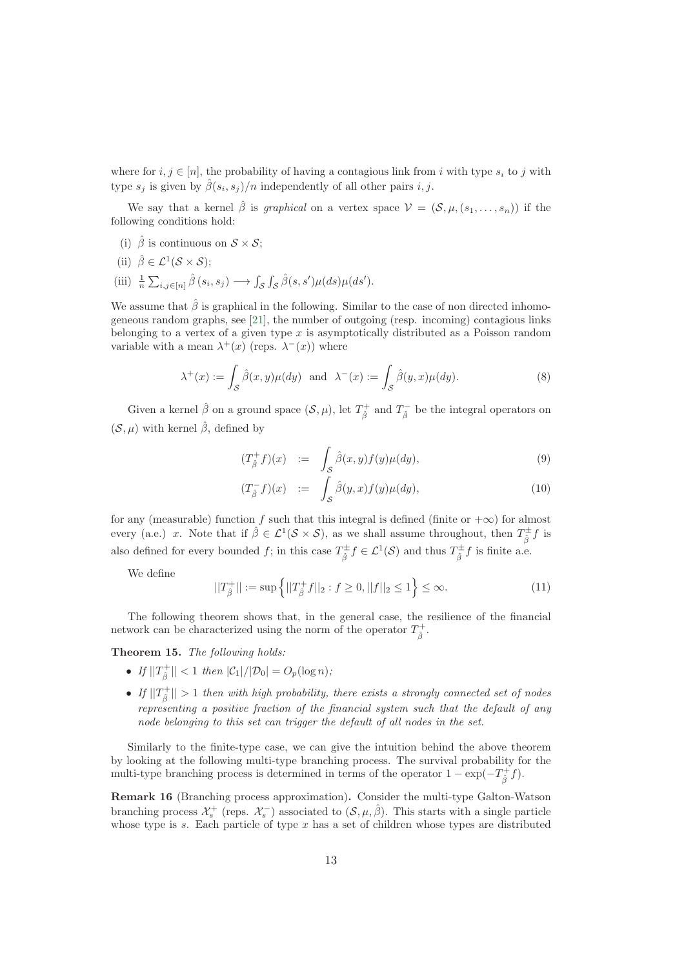where for  $i, j \in [n]$ , the probability of having a contagious link from i with type  $s_i$  to j with type  $s_j$  is given by  $\hat{\beta}(s_i, s_j)/n$  independently of all other pairs i, j.

We say that a kernel  $\hat{\beta}$  is *graphical* on a vertex space  $V = (\mathcal{S}, \mu, (s_1, \ldots, s_n))$  if the following conditions hold:

- (i)  $\hat{\beta}$  is continuous on  $S \times S$ ;
- (ii)  $\hat{\beta} \in \mathcal{L}^1(\mathcal{S} \times \mathcal{S});$
- (iii)  $\frac{1}{n} \sum_{i,j \in [n]} \hat{\beta}(s_i, s_j) \longrightarrow \int_{\mathcal{S}} \int_{\mathcal{S}} \hat{\beta}(s, s') \mu(ds') \mu(ds').$

We assume that  $\hat{\beta}$  is graphical in the following. Similar to the case of non directed inhomogeneous random graphs, see [21], the number of outgoing (resp. incoming) contagious links belonging to a vertex of a given type x is asymptotically distributed as a Poisson random variable with a mean  $\lambda^+(x)$  (reps.  $\lambda^-(x)$ ) where

$$
\lambda^{+}(x) := \int_{\mathcal{S}} \hat{\beta}(x, y)\mu(dy) \text{ and } \lambda^{-}(x) := \int_{\mathcal{S}} \hat{\beta}(y, x)\mu(dy). \tag{8}
$$

Given a kernel  $\hat{\beta}$  on a ground space  $(S, \mu)$ , let  $T^+_{\hat{\beta}}$  and  $T^-_{\hat{\beta}}$  be the integral operators on  $(\mathcal{S}, \mu)$  with kernel  $\hat{\beta}$ , defined by

$$
(T_{\hat{\beta}}^+ f)(x) \quad := \quad \int_{\mathcal{S}} \hat{\beta}(x, y) f(y) \mu(dy), \tag{9}
$$

$$
(T_{\hat{\beta}}^{-} f)(x) \quad := \quad \int_{\mathcal{S}} \hat{\beta}(y, x) f(y) \mu(dy), \tag{10}
$$

for any (measurable) function f such that this integral is defined (finite or  $+\infty$ ) for almost every (a.e.) x. Note that if  $\hat{\beta} \in \mathcal{L}^1(\mathcal{S} \times \mathcal{S})$ , as we shall assume throughout, then  $T^{\pm}_{\hat{\beta}} f$  is also defined for every bounded f; in this case  $T^{\pm}_{\hat{\beta}} f \in \mathcal{L}^1(\mathcal{S})$  and thus  $T^{\pm}_{\hat{\beta}} f$  is finite a.e.

We define

$$
||T_{\hat{\beta}}^{+}|| := \sup \left\{ ||T_{\hat{\beta}}^{+}f||_{2} : f \ge 0, ||f||_{2} \le 1 \right\} \le \infty.
$$
 (11)

The following theorem shows that, in the general case, the resilience of the financial network can be characterized using the norm of the operator  $T_{\hat{\beta}}^{+}$ .

Theorem 15. *The following holds:*

- *If*  $||T_{\hat{\beta}}^{+}|| < 1$  *then*  $|\mathcal{C}_1|/|\mathcal{D}_0| = O_p(\log n)$ ;
- *If*  $||T_{\hat{\beta}}^{+}|| > 1$  *then with high probability, there exists a strongly connected set of nodes representing a positive fraction of the financial system such that the default of any node belonging to this set can trigger the default of all nodes in the set.*

Similarly to the finite-type case, we can give the intuition behind the above theorem by looking at the following multi-type branching process. The survival probability for the multi-type branching process is determined in terms of the operator  $1 - \exp(-T_{\hat{\beta}}^+ f)$ .

Remark 16 (Branching process approximation). Consider the multi-type Galton-Watson branching process  $\mathcal{X}_s^+$  (reps.  $\mathcal{X}_s^-$ ) associated to  $(\mathcal{S}, \mu, \hat{\beta})$ . This starts with a single particle whose type is s. Each particle of type  $x$  has a set of children whose types are distributed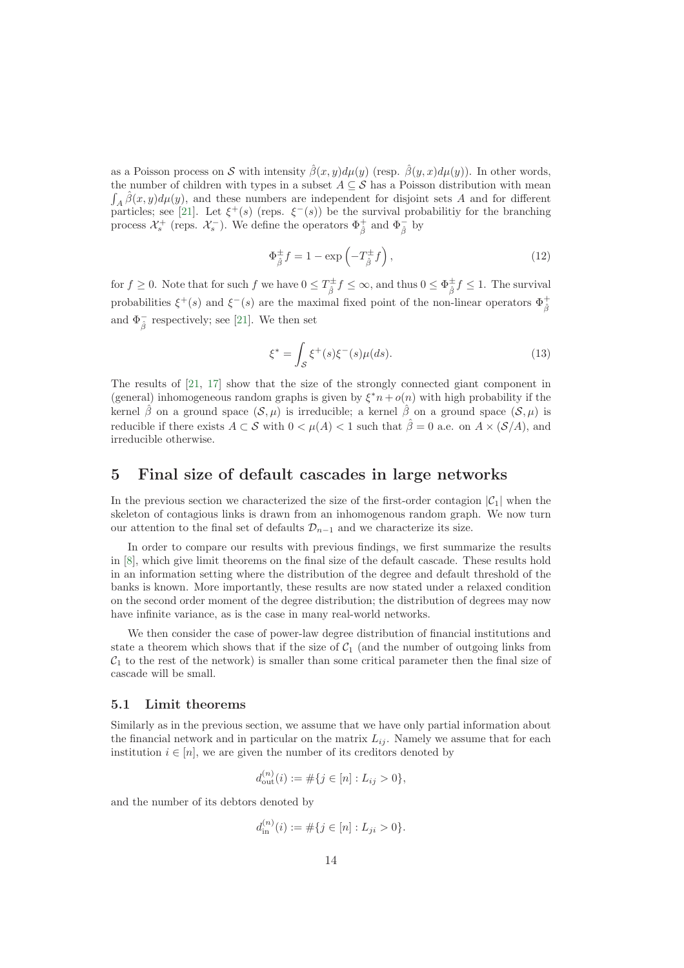as a Poisson process on S with intensity  $\hat{\beta}(x, y)d\mu(y)$  (resp.  $\hat{\beta}(y, x)d\mu(y)$ ). In other words, the number of children with types in a subset  $A \subseteq S$  has a Poisson distribution with mean  $\int_A \hat{\beta}(x, y) d\mu(y)$ , and these numbers are independent for disjoint sets A and for different  $J_A \rightarrow (\alpha, y) \mu \mu(y)$ , and these numbers are independent for disjoint sets 21 and for different<br>particles; see [21]. Let  $\xi^+(s)$  (reps.  $\xi^-(s)$ ) be the survival probability for the branching process  $\mathcal{X}_s^+$  (reps.  $\mathcal{X}_s^-$ ). We define the operators  $\Phi_{\hat{\beta}}^+$  and  $\Phi_{\hat{\beta}}^-$  by

$$
\Phi_{\hat{\beta}}^{\pm} f = 1 - \exp\left(-T_{\hat{\beta}}^{\pm} f\right),\tag{12}
$$

for  $f \geq 0$ . Note that for such f we have  $0 \leq T^{\pm}_{\hat{\beta}} f \leq \infty$ , and thus  $0 \leq \Phi^{\pm}_{\hat{\beta}} f \leq 1$ . The survival probabilities  $\xi^+(s)$  and  $\xi^-(s)$  are the maximal fixed point of the non-linear operators  $\Phi^+_{\hat{\beta}}$ and  $\Phi_{\hat{\beta}}^-$  respectively; see [21]. We then set

$$
\xi^* = \int_{\mathcal{S}} \xi^+(s)\xi^-(s)\mu(ds). \tag{13}
$$

The results of [21, 17] show that the size of the strongly connected giant component in (general) inhomogeneous random graphs is given by  $\xi^* n + o(n)$  with high probability if the kernel  $\hat{\beta}$  on a ground space  $(S, \mu)$  is irreducible; a kernel  $\hat{\beta}$  on a ground space  $(S, \mu)$  is reducible if there exists  $A \subset S$  with  $0 \leq \mu(A) \leq 1$  such that  $\hat{\beta} = 0$  a.e. on  $A \times (S/A)$ , and irreducible otherwise.

### 5 Final size of default cascades in large networks

In the previous section we characterized the size of the first-order contagion  $|\mathcal{C}_1|$  when the skeleton of contagious links is drawn from an inhomogenous random graph. We now turn our attention to the final set of defaults  $\mathcal{D}_{n-1}$  and we characterize its size.

In order to compare our results with previous findings, we first summarize the results in [8], which give limit theorems on the final size of the default cascade. These results hold in an information setting where the distribution of the degree and default threshold of the banks is known. More importantly, these results are now stated under a relaxed condition on the second order moment of the degree distribution; the distribution of degrees may now have infinite variance, as is the case in many real-world networks.

We then consider the case of power-law degree distribution of financial institutions and state a theorem which shows that if the size of  $C_1$  (and the number of outgoing links from  $C_1$  to the rest of the network) is smaller than some critical parameter then the final size of cascade will be small.

### 5.1 Limit theorems

Similarly as in the previous section, we assume that we have only partial information about the financial network and in particular on the matrix  $L_{ij}$ . Namely we assume that for each institution  $i \in [n]$ , we are given the number of its creditors denoted by

$$
d_{\text{out}}^{(n)}(i) := \#\{j \in [n] : L_{ij} > 0\},\
$$

and the number of its debtors denoted by

$$
d_{\text{in}}^{(n)}(i) := \#\{j \in [n] : L_{ji} > 0\}.
$$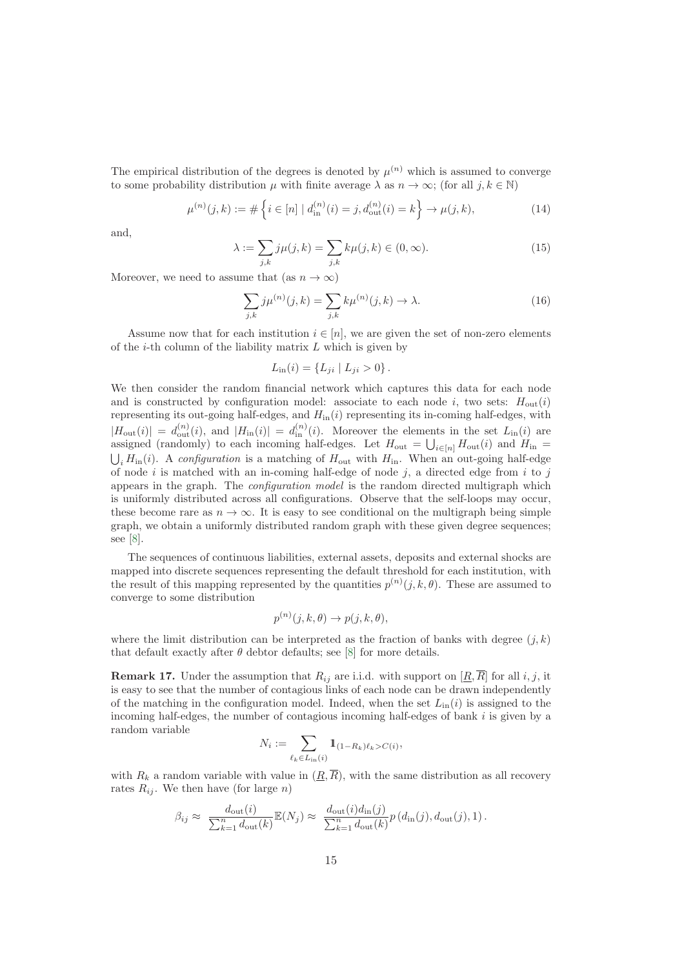The empirical distribution of the degrees is denoted by  $\mu^{(n)}$  which is assumed to converge to some probability distribution  $\mu$  with finite average  $\lambda$  as  $n \to \infty$ ; (for all  $j, k \in \mathbb{N}$ )

$$
\mu^{(n)}(j,k) := \# \left\{ i \in [n] \mid d_{\text{in}}^{(n)}(i) = j, d_{\text{out}}^{(n)}(i) = k \right\} \to \mu(j,k),\tag{14}
$$

and,

$$
\lambda := \sum_{j,k} j\mu(j,k) = \sum_{j,k} k\mu(j,k) \in (0,\infty).
$$
 (15)

Moreover, we need to assume that (as  $n \to \infty$ )

$$
\sum_{j,k} j\mu^{(n)}(j,k) = \sum_{j,k} k\mu^{(n)}(j,k) \to \lambda.
$$
 (16)

Assume now that for each institution  $i \in [n]$ , we are given the set of non-zero elements of the  $i$ -th column of the liability matrix  $L$  which is given by

$$
L_{\text{in}}(i) = \{L_{ji} \mid L_{ji} > 0\}.
$$

We then consider the random financial network which captures this data for each node and is constructed by configuration model: associate to each node i, two sets:  $H_{\text{out}}(i)$ representing its out-going half-edges, and  $H_{\text{in}}(i)$  representing its in-coming half-edges, with  $|H_{\text{out}}(i)| = d_{\text{out}}^{(n)}(i)$ , and  $|H_{\text{in}}(i)| = d_{\text{in}}^{(n)}(i)$ . Moreover the elements in the set  $L_{\text{in}}(i)$  are assigned (randomly) to each incoming half-edges. Let  $H_{\text{out}} = \bigcup_{i \in [n]} H_{\text{out}}(i)$  and  $H_{\text{in}} = \bigcup_i H_{\text{in}}(i)$ . A *configuration* is a matching of  $H_{\text{out}}$  with  $H_{\text{in}}$ . When an out-going half-edge  $\bigcup_i H_{\text{in}}(i)$ . A *configuration* is a matching of  $H_{\text{out}}$  with  $H_{\text{in}}$ . When an out-going half-edge of node i is matched with an in-coming half-edge of node j, a directed edge from i to j appears in the graph. The *configuration model* is the random directed multigraph which is uniformly distributed across all configurations. Observe that the self-loops may occur, these become rare as  $n \to \infty$ . It is easy to see conditional on the multigraph being simple graph, we obtain a uniformly distributed random graph with these given degree sequences; see [8].

The sequences of continuous liabilities, external assets, deposits and external shocks are mapped into discrete sequences representing the default threshold for each institution, with the result of this mapping represented by the quantities  $p^{(n)}(j, k, \theta)$ . These are assumed to converge to some distribution

$$
p^{(n)}(j,k,\theta) \to p(j,k,\theta),
$$

where the limit distribution can be interpreted as the fraction of banks with degree  $(j, k)$ that default exactly after  $\theta$  debtor defaults; see [8] for more details.

**Remark 17.** Under the assumption that  $R_{ij}$  are i.i.d. with support on  $[R, \overline{R}]$  for all i, j, it is easy to see that the number of contagious links of each node can be drawn independently of the matching in the configuration model. Indeed, when the set  $L<sub>in</sub>(i)$  is assigned to the incoming half-edges, the number of contagious incoming half-edges of bank i is given by a random variable

$$
N_i := \sum_{\ell_k \in L_{\text{in}}(i)} \mathbb{1}_{(1-R_k)\ell_k > C(i)},
$$

with  $R_k$  a random variable with value in  $(R, \overline{R})$ , with the same distribution as all recovery rates  $R_{ij}$ . We then have (for large n)

$$
\beta_{ij} \approx \frac{d_{\text{out}}(i)}{\sum_{k=1}^n d_{\text{out}}(k)} \mathbb{E}(N_j) \approx \frac{d_{\text{out}}(i)d_{\text{in}}(j)}{\sum_{k=1}^n d_{\text{out}}(k)} p(d_{\text{in}}(j), d_{\text{out}}(j), 1).
$$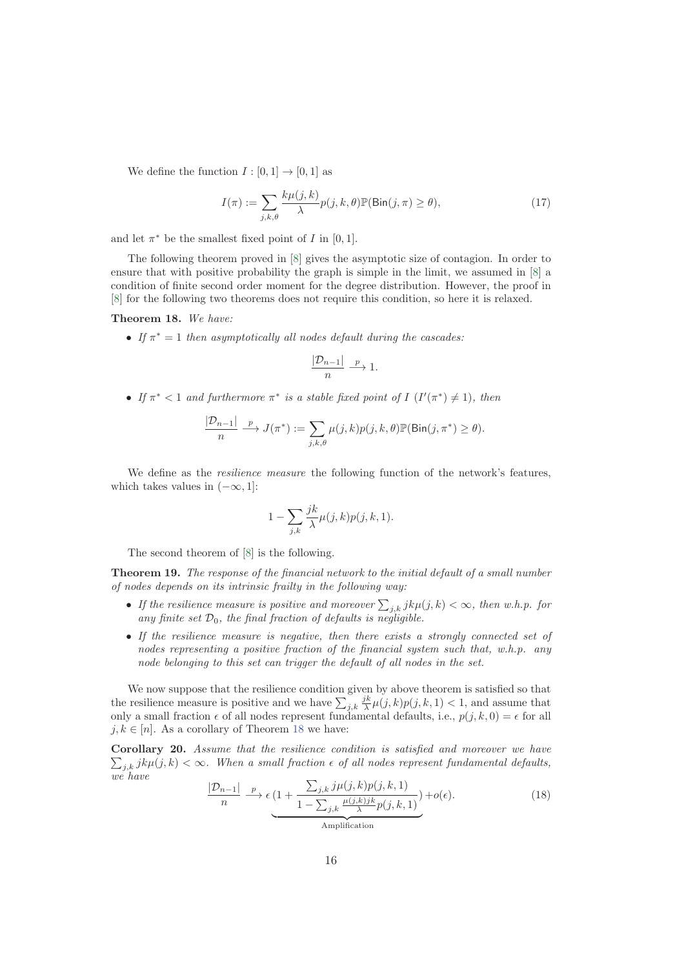We define the function  $I : [0, 1] \rightarrow [0, 1]$  as

$$
I(\pi) := \sum_{j,k,\theta} \frac{k\mu(j,k)}{\lambda} p(j,k,\theta) \mathbb{P}(\text{Bin}(j,\pi) \ge \theta),\tag{17}
$$

and let  $\pi^*$  be the smallest fixed point of I in [0, 1].

The following theorem proved in [8] gives the asymptotic size of contagion. In order to ensure that with positive probability the graph is simple in the limit, we assumed in [8] a condition of finite second order moment for the degree distribution. However, the proof in [8] for the following two theorems does not require this condition, so here it is relaxed.

Theorem 18. *We have:*

• *If*  $\pi^* = 1$  *then asymptotically all nodes default during the cascades:* 

$$
\frac{|\mathcal{D}_{n-1}|}{n} \xrightarrow{p} 1.
$$

• If  $\pi^*$  < 1 and furthermore  $\pi^*$  is a stable fixed point of I ( $I'(\pi^*) \neq 1$ ), then

$$
\frac{|\mathcal{D}_{n-1}|}{n} \xrightarrow{p} J(\pi^*) := \sum_{j,k,\theta} \mu(j,k) p(j,k,\theta) \mathbb{P}(\text{Bin}(j,\pi^*) \ge \theta).
$$

We define as the *resilience measure* the following function of the network's features, which takes values in  $(-\infty, 1]$ :

$$
1 - \sum_{j,k} \frac{jk}{\lambda} \mu(j,k) p(j,k,1).
$$

The second theorem of [8] is the following.

Theorem 19. *The response of the financial network to the initial default of a small number of nodes depends on its intrinsic frailty in the following way:*

- If the resilience measure is positive and moreover  $\sum_{j,k} j k \mu(j,k) < \infty$ , then w.h.p. for any finite set  $\mathcal{D}_0$ , the final fraction of defaults is negligible.
- *If the resilience measure is negative, then there exists a strongly connected set of nodes representing a positive fraction of the financial system such that, w.h.p. any node belonging to this set can trigger the default of all nodes in the set.*

We now suppose that the resilience condition given by above theorem is satisfied so that the resilience measure is positive and we have  $\sum_{j,k} \frac{jk}{\lambda} \mu(j,k) p(j,k,1) < 1$ , and assume that only a small fraction  $\epsilon$  of all nodes represent fundamental defaults, i.e.,  $p(j, k, 0) = \epsilon$  for all  $j, k \in [n]$ . As a corollary of Theorem 18 we have:

Corollary 20. *Assume that the resilience condition is satisfied and moreover we have*  $\sum_{j,k} j k \mu(j,k) < \infty$ . When a small fraction  $\epsilon$  of all nodes represent fundamental defaults, *we have*

$$
\frac{|\mathcal{D}_{n-1}|}{n} \xrightarrow{p} \epsilon \underbrace{(1 + \frac{\sum_{j,k} j\mu(j,k)p(j,k,1)}{1 - \sum_{j,k} \frac{\mu(j,k)jk}{\lambda}p(j,k,1)})}_{\text{Amplification}} + o(\epsilon). \tag{18}
$$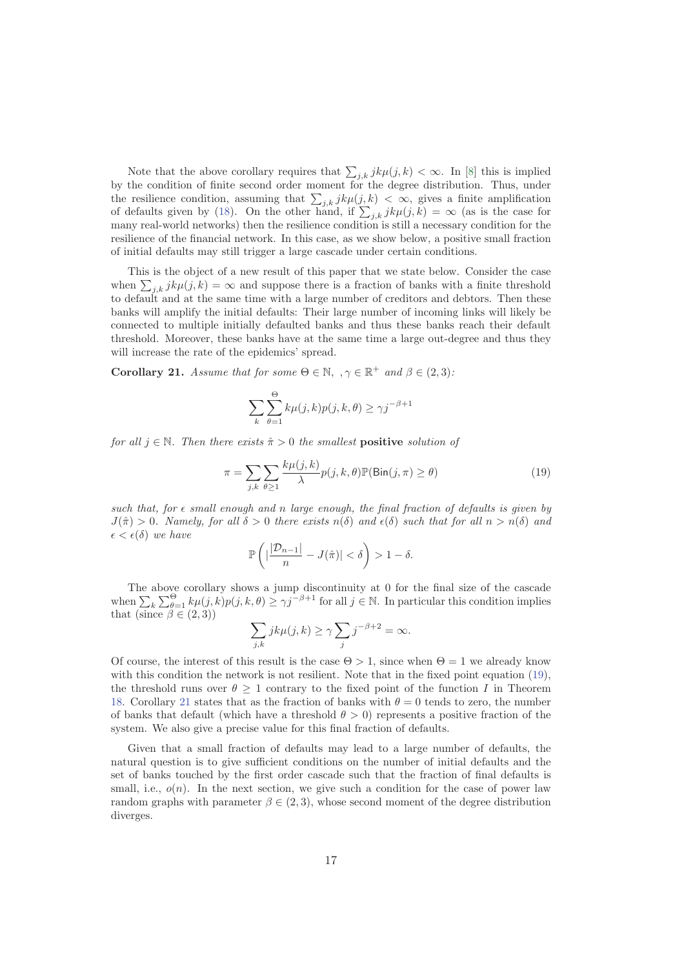Note that the above corollary requires that  $\sum_{j,k} j k \mu(j,k) < \infty$ . In [8] this is implied by the condition of finite second order moment for the degree distribution. Thus, under the resilience condition, assuming that  $\sum_{j,k} j k \mu(j,k) < \infty$ , gives a finite amplification of defaults given by (18). On the other hand, if  $\sum_{j,k} j k \mu(j,k) = \infty$  (as is the case for many real-world networks) then the resilience condition is still a necessary condition for the resilience of the financial network. In this case, as we show below, a positive small fraction of initial defaults may still trigger a large cascade under certain conditions.

This is the object of a new result of this paper that we state below. Consider the case when  $\sum_{j,k} j k \mu(j,k) = \infty$  and suppose there is a fraction of banks with a finite threshold to default and at the same time with a large number of creditors and debtors. Then these banks will amplify the initial defaults: Their large number of incoming links will likely be connected to multiple initially defaulted banks and thus these banks reach their default threshold. Moreover, these banks have at the same time a large out-degree and thus they will increase the rate of the epidemics' spread.

**Corollary 21.** *Assume that for some*  $\Theta \in \mathbb{N}$ ,  $\gamma \in \mathbb{R}^+$  *and*  $\beta \in (2,3)$ *:* 

$$
\sum_{k} \sum_{\theta=1}^{\Theta} k \mu(j,k) p(j,k,\theta) \ge \gamma j^{-\beta+1}
$$

*for all*  $j \in \mathbb{N}$ *. Then there exists*  $\hat{\pi} > 0$  *the smallest* **positive** *solution of* 

$$
\pi = \sum_{j,k} \sum_{\theta \ge 1} \frac{k \mu(j,k)}{\lambda} p(j,k,\theta) \mathbb{P}(\text{Bin}(j,\pi) \ge \theta)
$$
\n(19)

such that, for  $\epsilon$  small enough and n large enough, the final fraction of defaults is given by  $J(\hat{\pi}) > 0$ *. Namely, for all*  $\delta > 0$  *there exists*  $n(\delta)$  *and*  $\epsilon(\delta)$  *such that for all*  $n > n(\delta)$  *and*  $\epsilon < \epsilon(\delta)$  *we have* 

$$
\mathbb{P}\left(|\frac{|\mathcal{D}_{n-1}|}{n} - J(\hat{\pi})| < \delta\right) > 1 - \delta.
$$

The above corollary shows a jump discontinuity at 0 for the final size of the cascade when  $\sum_{k} \sum_{\theta=1}^{S} k \mu(j, k) p(j, k, \theta) \ge \gamma j^{-\beta+1}$  for all  $j \in \mathbb{N}$ . In particular this condition implies that (since  $\beta \in (2,3)$ )

$$
\sum_{j,k} j k \mu(j,k) \ge \gamma \sum_j j^{-\beta+2} = \infty.
$$

Of course, the interest of this result is the case  $\Theta > 1$ , since when  $\Theta = 1$  we already know with this condition the network is not resilient. Note that in the fixed point equation (19), the threshold runs over  $\theta \geq 1$  contrary to the fixed point of the function I in Theorem 18. Corollary 21 states that as the fraction of banks with  $\theta = 0$  tends to zero, the number of banks that default (which have a threshold  $\theta > 0$ ) represents a positive fraction of the system. We also give a precise value for this final fraction of defaults.

Given that a small fraction of defaults may lead to a large number of defaults, the natural question is to give sufficient conditions on the number of initial defaults and the set of banks touched by the first order cascade such that the fraction of final defaults is small, i.e.,  $o(n)$ . In the next section, we give such a condition for the case of power law random graphs with parameter  $\beta \in (2,3)$ , whose second moment of the degree distribution diverges.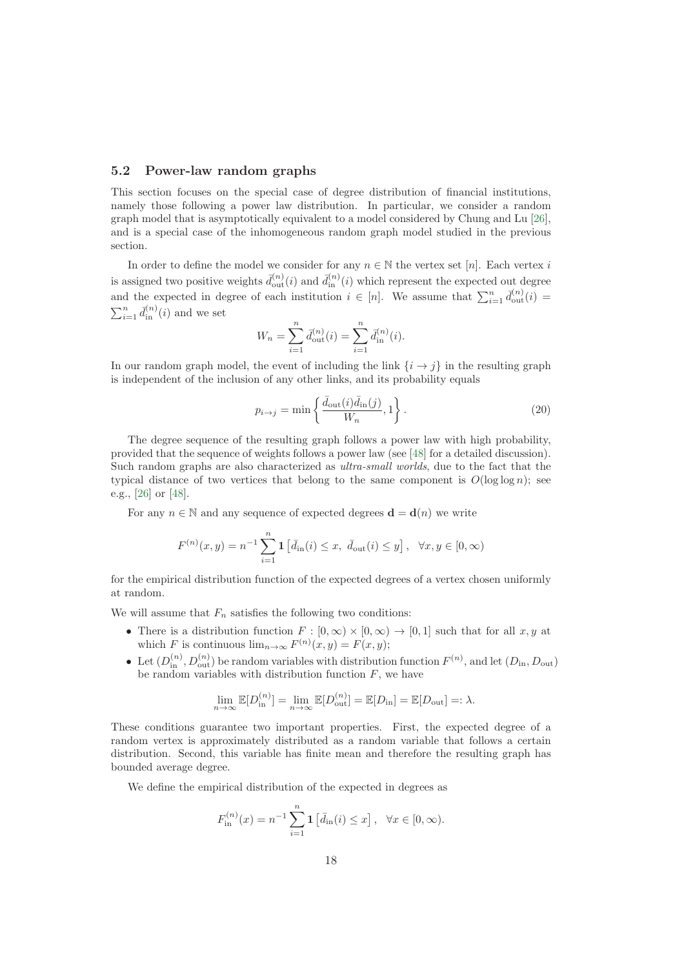#### 5.2 Power-law random graphs

This section focuses on the special case of degree distribution of financial institutions, namely those following a power law distribution. In particular, we consider a random graph model that is asymptotically equivalent to a model considered by Chung and Lu [26], and is a special case of the inhomogeneous random graph model studied in the previous section.

In order to define the model we consider for any  $n \in \mathbb{N}$  the vertex set [n]. Each vertex i is assigned two positive weights  $\bar{d}_{\text{out}}^{(n)}(i)$  and  $\bar{d}_{\text{in}}^{(n)}(i)$  which represent the expected out degree and the expected in degree of each institution  $i \in [n]$ . We assume that  $\sum_{i=1}^{n} \bar{d}_{out}^{(n)}(i) =$  $\sum_{i=1}^{n} \bar{d}_{\text{in}}^{(n)}(i)$  and we set

$$
W_n = \sum_{i=1}^n \bar{d}_{\text{out}}^{(n)}(i) = \sum_{i=1}^n \bar{d}_{\text{in}}^{(n)}(i).
$$

In our random graph model, the event of including the link  $\{i \rightarrow j\}$  in the resulting graph is independent of the inclusion of any other links, and its probability equals

$$
p_{i \to j} = \min\left\{\frac{\bar{d}_{\text{out}}(i)\bar{d}_{\text{in}}(j)}{W_n}, 1\right\}.
$$
\n(20)

The degree sequence of the resulting graph follows a power law with high probability, provided that the sequence of weights follows a power law (see [48] for a detailed discussion). Such random graphs are also characterized as *ultra-small worlds*, due to the fact that the typical distance of two vertices that belong to the same component is  $O(\log \log n)$ ; see e.g., [26] or [48].

For any  $n \in \mathbb{N}$  and any sequence of expected degrees  $\mathbf{d} = \mathbf{d}(n)$  we write

$$
F^{(n)}(x,y) = n^{-1} \sum_{i=1}^{n} \mathbf{1} \left[ \bar{d}_{in}(i) \le x, \ \bar{d}_{out}(i) \le y \right], \ \ \forall x, y \in [0, \infty)
$$

for the empirical distribution function of the expected degrees of a vertex chosen uniformly at random.

We will assume that  $F_n$  satisfies the following two conditions:

- There is a distribution function  $F : [0, \infty) \times [0, \infty) \to [0, 1]$  such that for all  $x, y$  at which F is continuous  $\lim_{n\to\infty} F^{(n)}(x,y) = F(x,y);$
- Let  $(D_{\text{in}}^{(n)}, D_{\text{out}}^{(n)})$  be random variables with distribution function  $F^{(n)}$ , and let  $(D_{\text{in}}, D_{\text{out}})$ be random variables with distribution function  $F$ , we have

$$
\lim_{n \to \infty} \mathbb{E}[D_{\text{in}}^{(n)}] = \lim_{n \to \infty} \mathbb{E}[D_{\text{out}}^{(n)}] = \mathbb{E}[D_{\text{in}}] = \mathbb{E}[D_{\text{out}}] =: \lambda.
$$

These conditions guarantee two important properties. First, the expected degree of a random vertex is approximately distributed as a random variable that follows a certain distribution. Second, this variable has finite mean and therefore the resulting graph has bounded average degree.

We define the empirical distribution of the expected in degrees as

$$
F_{\text{in}}^{(n)}(x) = n^{-1} \sum_{i=1}^{n} \mathbf{1} [\bar{d}_{\text{in}}(i) \leq x], \ \ \forall x \in [0, \infty).
$$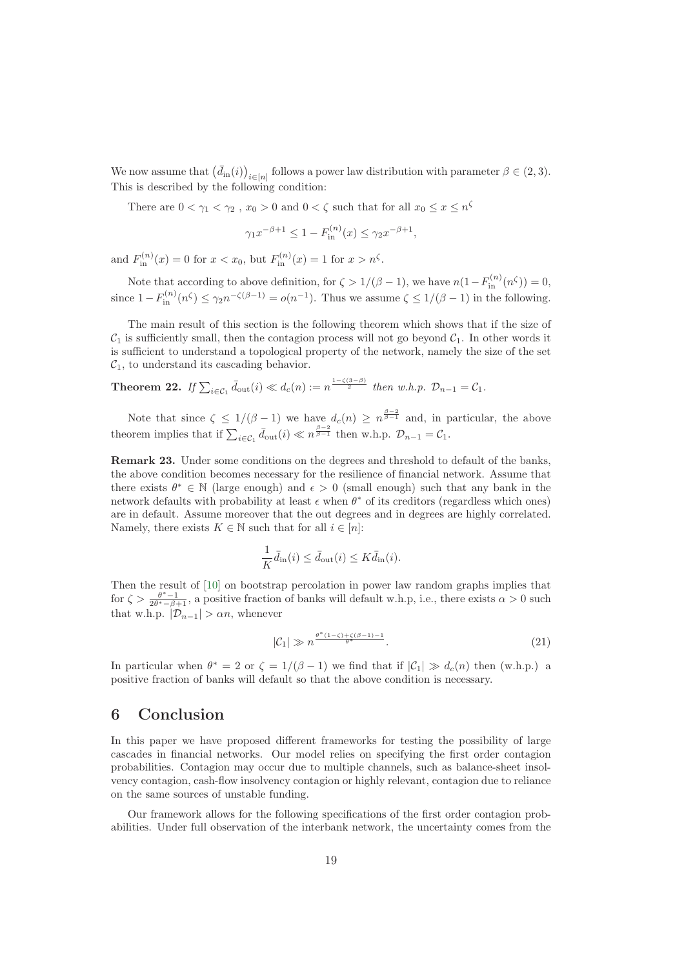We now assume that  $(\bar{d}_{in}(i))_{i\in[n]}$  follows a power law distribution with parameter  $\beta \in (2,3)$ . This is described by the following condition:

There are  $0 < \gamma_1 < \gamma_2$ ,  $x_0 > 0$  and  $0 < \zeta$  such that for all  $x_0 \le x \le n^{\zeta}$ 

$$
\gamma_1 x^{-\beta+1} \le 1 - F_{\text{in}}^{(n)}(x) \le \gamma_2 x^{-\beta+1},
$$

and  $F_{\text{in}}^{(n)}(x) = 0$  for  $x < x_0$ , but  $F_{\text{in}}^{(n)}(x) = 1$  for  $x > n^{\zeta}$ .

Note that according to above definition, for  $\zeta > 1/(\beta - 1)$ , we have  $n(1 - F_{\text{in}}^{(n)}(n^{\zeta})) = 0$ , since  $1 - F_{\text{in}}^{(n)}(n^{\zeta}) \le \gamma_2 n^{-\zeta(\beta - 1)} = o(n^{-1})$ . Thus we assume  $\zeta \le 1/(\beta - 1)$  in the following.

The main result of this section is the following theorem which shows that if the size of  $C_1$  is sufficiently small, then the contagion process will not go beyond  $C_1$ . In other words it is sufficient to understand a topological property of the network, namely the size of the set  $C_1$ , to understand its cascading behavior.

**Theorem 22.** *If*  $\sum_{i \in C_1} \bar{d}_{out}(i) \ll d_c(n) := n^{\frac{1-\zeta(3-\beta)}{2}}$  then w.h.p.  $\mathcal{D}_{n-1} = \mathcal{C}_1$ .

Note that since  $\zeta \leq 1/(\beta - 1)$  we have  $d_c(n) \geq n^{\frac{\beta-2}{\beta-1}}$  and, in particular, the above theorem implies that if  $\sum_{i \in \mathcal{C}_1} \bar{d}_{\text{out}}(i) \ll n^{\frac{\beta-2}{\beta-1}}$  then w.h.p.  $\mathcal{D}_{n-1} = \mathcal{C}_1$ .

Remark 23. Under some conditions on the degrees and threshold to default of the banks, the above condition becomes necessary for the resilience of financial network. Assume that there exists  $\theta^* \in \mathbb{N}$  (large enough) and  $\epsilon > 0$  (small enough) such that any bank in the network defaults with probability at least  $\epsilon$  when  $\theta^*$  of its creditors (regardless which ones) are in default. Assume moreover that the out degrees and in degrees are highly correlated. Namely, there exists  $K \in \mathbb{N}$  such that for all  $i \in [n]$ :

$$
\frac{1}{K}\bar{d}_{\rm in}(i) \le \bar{d}_{\rm out}(i) \le K\bar{d}_{\rm in}(i).
$$

Then the result of [10] on bootstrap percolation in power law random graphs implies that for  $\zeta > \frac{\theta^*-1}{2\theta^*-\beta+1}$ , a positive fraction of banks will default w.h.p, i.e., there exists  $\alpha > 0$  such that w.h.p.  $|\mathcal{D}_{n-1}| > \alpha n$ , whenever

$$
|\mathcal{C}_1| \gg n^{\frac{\theta^*(1-\zeta)+\zeta(\beta-1)-1}{\theta^*}}.
$$
\n
$$
(21)
$$

In particular when  $\theta^* = 2$  or  $\zeta = 1/(\beta - 1)$  we find that if  $|\mathcal{C}_1| \gg d_c(n)$  then (w.h.p.) a positive fraction of banks will default so that the above condition is necessary.

# 6 Conclusion

In this paper we have proposed different frameworks for testing the possibility of large cascades in financial networks. Our model relies on specifying the first order contagion probabilities. Contagion may occur due to multiple channels, such as balance-sheet insolvency contagion, cash-flow insolvency contagion or highly relevant, contagion due to reliance on the same sources of unstable funding.

Our framework allows for the following specifications of the first order contagion probabilities. Under full observation of the interbank network, the uncertainty comes from the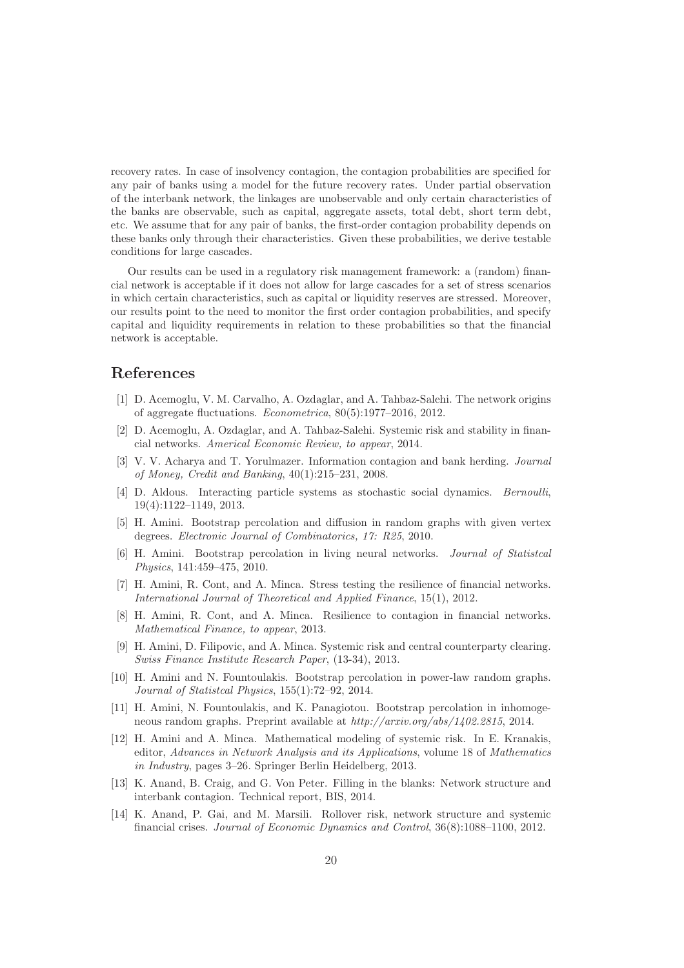recovery rates. In case of insolvency contagion, the contagion probabilities are specified for any pair of banks using a model for the future recovery rates. Under partial observation of the interbank network, the linkages are unobservable and only certain characteristics of the banks are observable, such as capital, aggregate assets, total debt, short term debt, etc. We assume that for any pair of banks, the first-order contagion probability depends on these banks only through their characteristics. Given these probabilities, we derive testable conditions for large cascades.

Our results can be used in a regulatory risk management framework: a (random) financial network is acceptable if it does not allow for large cascades for a set of stress scenarios in which certain characteristics, such as capital or liquidity reserves are stressed. Moreover, our results point to the need to monitor the first order contagion probabilities, and specify capital and liquidity requirements in relation to these probabilities so that the financial network is acceptable.

## References

- [1] D. Acemoglu, V. M. Carvalho, A. Ozdaglar, and A. Tahbaz-Salehi. The network origins of aggregate fluctuations. *Econometrica*, 80(5):1977–2016, 2012.
- [2] D. Acemoglu, A. Ozdaglar, and A. Tahbaz-Salehi. Systemic risk and stability in financial networks. *Americal Economic Review, to appear*, 2014.
- [3] V. V. Acharya and T. Yorulmazer. Information contagion and bank herding. *Journal of Money, Credit and Banking*, 40(1):215–231, 2008.
- [4] D. Aldous. Interacting particle systems as stochastic social dynamics. *Bernoulli*, 19(4):1122–1149, 2013.
- [5] H. Amini. Bootstrap percolation and diffusion in random graphs with given vertex degrees. *Electronic Journal of Combinatorics, 17: R25*, 2010.
- [6] H. Amini. Bootstrap percolation in living neural networks. *Journal of Statistcal Physics*, 141:459–475, 2010.
- [7] H. Amini, R. Cont, and A. Minca. Stress testing the resilience of financial networks. *International Journal of Theoretical and Applied Finance*, 15(1), 2012.
- [8] H. Amini, R. Cont, and A. Minca. Resilience to contagion in financial networks. *Mathematical Finance, to appear*, 2013.
- [9] H. Amini, D. Filipovic, and A. Minca. Systemic risk and central counterparty clearing. *Swiss Finance Institute Research Paper*, (13-34), 2013.
- [10] H. Amini and N. Fountoulakis. Bootstrap percolation in power-law random graphs. *Journal of Statistcal Physics*, 155(1):72–92, 2014.
- [11] H. Amini, N. Fountoulakis, and K. Panagiotou. Bootstrap percolation in inhomogeneous random graphs. Preprint available at *http://arxiv.org/abs/1402.2815*, 2014.
- [12] H. Amini and A. Minca. Mathematical modeling of systemic risk. In E. Kranakis, editor, *Advances in Network Analysis and its Applications*, volume 18 of *Mathematics in Industry*, pages 3–26. Springer Berlin Heidelberg, 2013.
- [13] K. Anand, B. Craig, and G. Von Peter. Filling in the blanks: Network structure and interbank contagion. Technical report, BIS, 2014.
- [14] K. Anand, P. Gai, and M. Marsili. Rollover risk, network structure and systemic financial crises. *Journal of Economic Dynamics and Control*, 36(8):1088–1100, 2012.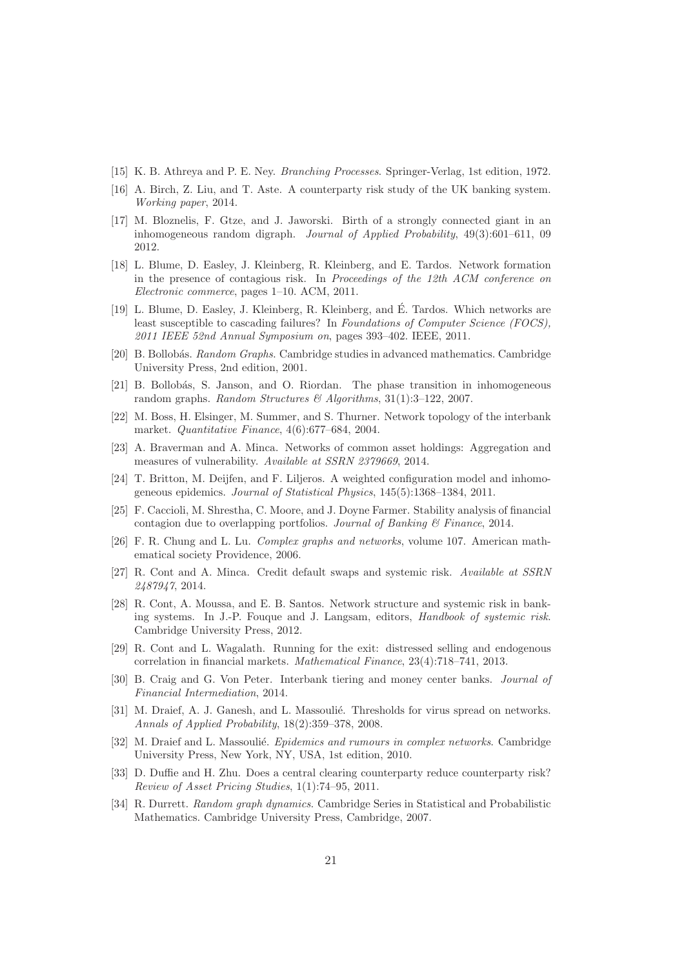- [15] K. B. Athreya and P. E. Ney. *Branching Processes*. Springer-Verlag, 1st edition, 1972.
- [16] A. Birch, Z. Liu, and T. Aste. A counterparty risk study of the UK banking system. *Working paper*, 2014.
- [17] M. Bloznelis, F. Gtze, and J. Jaworski. Birth of a strongly connected giant in an inhomogeneous random digraph. *Journal of Applied Probability*, 49(3):601–611, 09 2012.
- [18] L. Blume, D. Easley, J. Kleinberg, R. Kleinberg, and E. Tardos. Network formation in the presence of contagious risk. In *Proceedings of the 12th ACM conference on Electronic commerce*, pages 1–10. ACM, 2011.
- [19] L. Blume, D. Easley, J. Kleinberg, R. Kleinberg, and E. Tardos. Which networks are ´ least susceptible to cascading failures? In *Foundations of Computer Science (FOCS), 2011 IEEE 52nd Annual Symposium on*, pages 393–402. IEEE, 2011.
- [20] B. Bollob´as. *Random Graphs*. Cambridge studies in advanced mathematics. Cambridge University Press, 2nd edition, 2001.
- [21] B. Bollobás, S. Janson, and O. Riordan. The phase transition in inhomogeneous random graphs. *Random Structures & Algorithms*, 31(1):3–122, 2007.
- [22] M. Boss, H. Elsinger, M. Summer, and S. Thurner. Network topology of the interbank market. *Quantitative Finance*, 4(6):677–684, 2004.
- [23] A. Braverman and A. Minca. Networks of common asset holdings: Aggregation and measures of vulnerability. *Available at SSRN 2379669*, 2014.
- [24] T. Britton, M. Deijfen, and F. Liljeros. A weighted configuration model and inhomogeneous epidemics. *Journal of Statistical Physics*, 145(5):1368–1384, 2011.
- [25] F. Caccioli, M. Shrestha, C. Moore, and J. Doyne Farmer. Stability analysis of financial contagion due to overlapping portfolios. *Journal of Banking & Finance*, 2014.
- [26] F. R. Chung and L. Lu. *Complex graphs and networks*, volume 107. American mathematical society Providence, 2006.
- [27] R. Cont and A. Minca. Credit default swaps and systemic risk. *Available at SSRN 2487947*, 2014.
- [28] R. Cont, A. Moussa, and E. B. Santos. Network structure and systemic risk in banking systems. In J.-P. Fouque and J. Langsam, editors, *Handbook of systemic risk*. Cambridge University Press, 2012.
- [29] R. Cont and L. Wagalath. Running for the exit: distressed selling and endogenous correlation in financial markets. *Mathematical Finance*, 23(4):718–741, 2013.
- [30] B. Craig and G. Von Peter. Interbank tiering and money center banks. *Journal of Financial Intermediation*, 2014.
- [31] M. Draief, A. J. Ganesh, and L. Massoulié. Thresholds for virus spread on networks. *Annals of Applied Probability*, 18(2):359–378, 2008.
- [32] M. Draief and L. Massoulié. *Epidemics and rumours in complex networks*. Cambridge University Press, New York, NY, USA, 1st edition, 2010.
- [33] D. Duffie and H. Zhu. Does a central clearing counterparty reduce counterparty risk? *Review of Asset Pricing Studies*, 1(1):74–95, 2011.
- [34] R. Durrett. *Random graph dynamics*. Cambridge Series in Statistical and Probabilistic Mathematics. Cambridge University Press, Cambridge, 2007.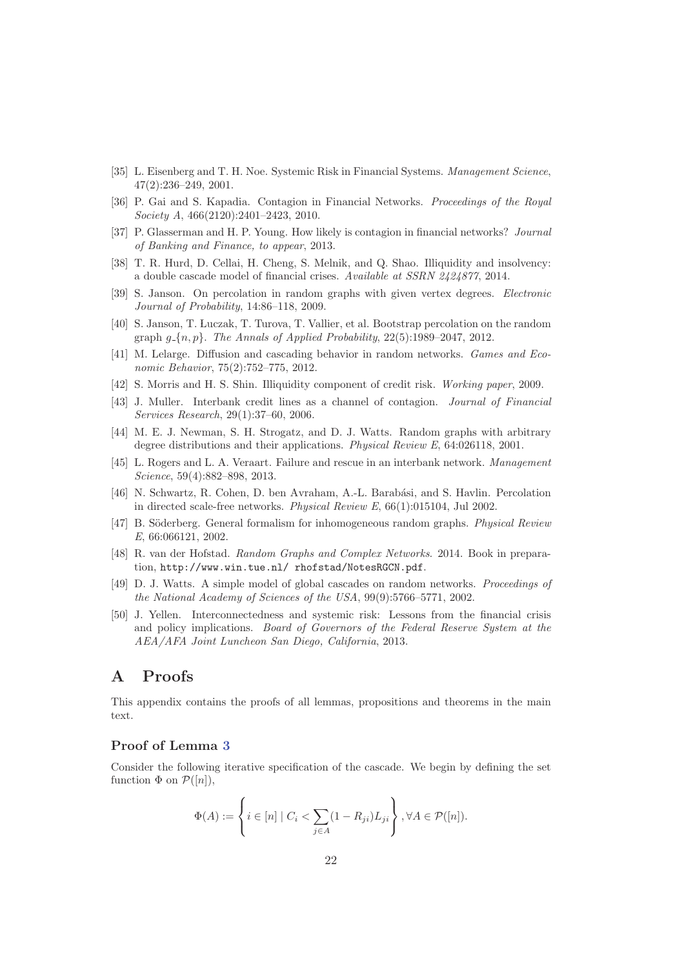- [35] L. Eisenberg and T. H. Noe. Systemic Risk in Financial Systems. *Management Science*, 47(2):236–249, 2001.
- [36] P. Gai and S. Kapadia. Contagion in Financial Networks. *Proceedings of the Royal Society A*, 466(2120):2401–2423, 2010.
- [37] P. Glasserman and H. P. Young. How likely is contagion in financial networks? *Journal of Banking and Finance, to appear*, 2013.
- [38] T. R. Hurd, D. Cellai, H. Cheng, S. Melnik, and Q. Shao. Illiquidity and insolvency: a double cascade model of financial crises. *Available at SSRN 2424877*, 2014.
- [39] S. Janson. On percolation in random graphs with given vertex degrees. *Electronic Journal of Probability*, 14:86–118, 2009.
- [40] S. Janson, T. Luczak, T. Turova, T. Vallier, et al. Bootstrap percolation on the random graph  $q_{-}\{n, p\}$ . *The Annals of Applied Probability*, 22(5):1989–2047, 2012.
- [41] M. Lelarge. Diffusion and cascading behavior in random networks. *Games and Economic Behavior*, 75(2):752–775, 2012.
- [42] S. Morris and H. S. Shin. Illiquidity component of credit risk. *Working paper*, 2009.
- [43] J. Muller. Interbank credit lines as a channel of contagion. *Journal of Financial Services Research*, 29(1):37–60, 2006.
- [44] M. E. J. Newman, S. H. Strogatz, and D. J. Watts. Random graphs with arbitrary degree distributions and their applications. *Physical Review E*, 64:026118, 2001.
- [45] L. Rogers and L. A. Veraart. Failure and rescue in an interbank network. *Management Science*, 59(4):882–898, 2013.
- [46] N. Schwartz, R. Cohen, D. ben Avraham, A.-L. Barabási, and S. Havlin. Percolation in directed scale-free networks. *Physical Review E*, 66(1):015104, Jul 2002.
- [47] B. S¨oderberg. General formalism for inhomogeneous random graphs. *Physical Review E*, 66:066121, 2002.
- [48] R. van der Hofstad. *Random Graphs and Complex Networks*. 2014. Book in preparation, http://www.win.tue.nl/ rhofstad/NotesRGCN.pdf.
- [49] D. J. Watts. A simple model of global cascades on random networks. *Proceedings of the National Academy of Sciences of the USA*, 99(9):5766–5771, 2002.
- [50] J. Yellen. Interconnectedness and systemic risk: Lessons from the financial crisis and policy implications. *Board of Governors of the Federal Reserve System at the AEA/AFA Joint Luncheon San Diego, California*, 2013.

# A Proofs

This appendix contains the proofs of all lemmas, propositions and theorems in the main text.

#### Proof of Lemma 3

Consider the following iterative specification of the cascade. We begin by defining the set function  $\Phi$  on  $\mathcal{P}([n]),$ 

$$
\Phi(A) := \left\{ i \in [n] \mid C_i < \sum_{j \in A} (1 - R_{ji}) L_{ji} \right\}, \forall A \in \mathcal{P}([n]).
$$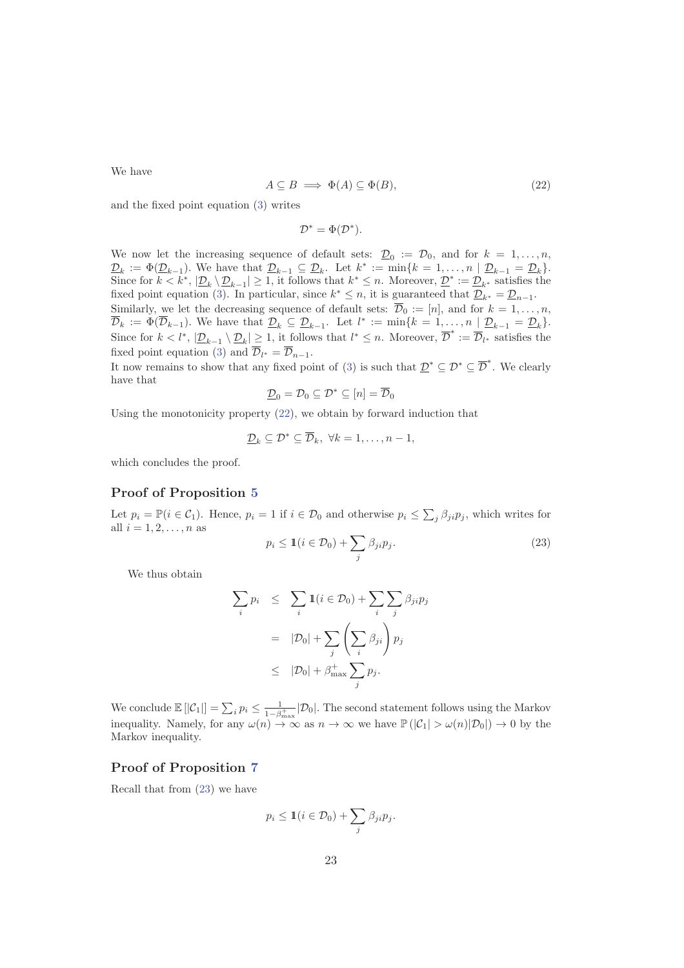We have

$$
A \subseteq B \implies \Phi(A) \subseteq \Phi(B), \tag{22}
$$

and the fixed point equation (3) writes

$$
\mathcal{D}^* = \Phi(\mathcal{D}^*).
$$

We now let the increasing sequence of default sets:  $\mathcal{D}_0 := \mathcal{D}_0$ , and for  $k = 1, \ldots, n$ ,  $\underline{\mathcal{D}}_k := \Phi(\underline{\mathcal{D}}_{k-1}).$  We have that  $\underline{\mathcal{D}}_{k-1} \subseteq \underline{\mathcal{D}}_k$ . Let  $k^* := \min\{k = 1, \ldots, n \mid \underline{\mathcal{D}}_{k-1} = \underline{\mathcal{D}}_k\}.$ Since for  $k < k^*$ ,  $|\mathcal{D}_k \setminus \mathcal{D}_{k-1}| \geq 1$ , it follows that  $k^* \leq n$ . Moreover,  $\mathcal{D}^* := \mathcal{D}_{k^*}$  satisfies the fixed point equation (3). In particular, since  $k^* \leq n$ , it is guaranteed that  $\underline{\mathcal{D}}_{k^*} = \underline{\mathcal{D}}_{n-1}$ . Similarly, we let the decreasing sequence of default sets:  $\mathcal{D}_0 := [n]$ , and for  $k = 1, \ldots, n$ ,  $\mathcal{D}_k := \Phi(\mathcal{D}_{k-1}).$  We have that  $\underline{\mathcal{D}}_k \subseteq \underline{\mathcal{D}}_{k-1}.$  Let  $l^* := \min\{k = 1, \ldots, n \mid \underline{\mathcal{D}}_{k-1} = \underline{\mathcal{D}}_k\}.$ Since for  $k < l^*$ ,  $|\underline{\mathcal{D}}_{k-1} \setminus \underline{\mathcal{D}}_k| \geq 1$ , it follows that  $l^* \leq n$ . Moreover,  $\overline{\mathcal{D}}^* := \overline{\mathcal{D}}_{l^*}$  satisfies the fixed point equation (3) and  $\mathcal{D}_{l^*} = \mathcal{D}_{n-1}$ .

It now remains to show that any fixed point of (3) is such that  $\underline{\mathcal{D}}^* \subseteq \overline{\mathcal{D}}^*$ . We clearly have that

$$
\underline{\mathcal{D}}_0 = \mathcal{D}_0 \subseteq \mathcal{D}^* \subseteq [n] = \overline{\mathcal{D}}_0
$$

Using the monotonicity property (22), we obtain by forward induction that

$$
\underline{\mathcal{D}}_k \subseteq \mathcal{D}^* \subseteq \overline{\mathcal{D}}_k, \ \forall k = 1, \ldots, n-1,
$$

which concludes the proof.

#### Proof of Proposition 5

Let  $p_i = \mathbb{P}(i \in \mathcal{C}_1)$ . Hence,  $p_i = 1$  if  $i \in \mathcal{D}_0$  and otherwise  $p_i \leq \sum_j \beta_{ji} p_j$ , which writes for all  $i = 1, 2, ..., n$  as

$$
p_i \le \mathbb{1}(i \in \mathcal{D}_0) + \sum_j \beta_{ji} p_j. \tag{23}
$$

We thus obtain

$$
\sum_{i} p_i \leq \sum_{i} 1(i \in \mathcal{D}_0) + \sum_{i} \sum_{j} \beta_{ji} p_j
$$

$$
= |\mathcal{D}_0| + \sum_{j} \left( \sum_{i} \beta_{ji} \right) p_j
$$

$$
\leq |\mathcal{D}_0| + \beta_{\max}^+ \sum_{j} p_j.
$$

We conclude  $\mathbb{E}\left[|\mathcal{C}_1|\right] = \sum_i p_i \leq \frac{1}{1-\beta_i}$  $\frac{1}{1-\beta_{\max}^+}|\mathcal{D}_0|$ . The second statement follows using the Markov inequality. Namely, for any  $\omega(n) \to \infty$  as  $n \to \infty$  we have  $\mathbb{P}(|\mathcal{C}_1| > \omega(n)|\mathcal{D}_0|) \to 0$  by the Markov inequality.

### Proof of Proposition 7

Recall that from (23) we have

$$
p_i \leq \mathbb{1}(i \in \mathcal{D}_0) + \sum_j \beta_{ji} p_j.
$$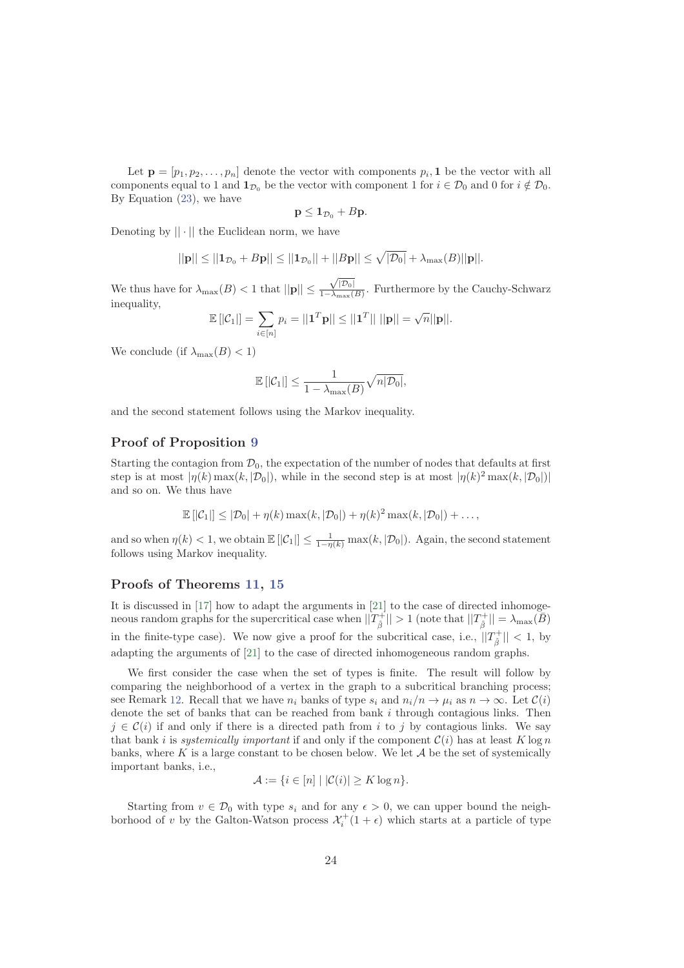Let  $\mathbf{p} = [p_1, p_2, \dots, p_n]$  denote the vector with components  $p_i, \mathbf{1}$  be the vector with all components equal to 1 and  $1_{\mathcal{D}_0}$  be the vector with component 1 for  $i \in \mathcal{D}_0$  and 0 for  $i \notin \mathcal{D}_0$ . By Equation  $(23)$ , we have

$$
\mathbf{p} \leq \mathbf{1}_{\mathcal{D}_0} + B\mathbf{p}.
$$

Denoting by  $|| \cdot ||$  the Euclidean norm, we have

$$
||\mathbf{p}|| \le ||\mathbf{1}_{\mathcal{D}_0} + B\mathbf{p}|| \le ||\mathbf{1}_{\mathcal{D}_0}|| + ||B\mathbf{p}|| \le \sqrt{|\mathcal{D}_0|} + \lambda_{\max}(B)||\mathbf{p}||.
$$

We thus have for  $\lambda_{\max}(B) < 1$  that  $||\mathbf{p}|| \le$  $\frac{\sqrt{|\mathcal{D}_0|}}{1-\lambda_{\max}(B)}$  . Furthermore by the Cauchy-Schwarz inequality,

$$
\mathbb{E} [|\mathcal{C}_1|] = \sum_{i \in [n]} p_i = ||\mathbf{1}^T \mathbf{p}|| \le ||\mathbf{1}^T|| \, ||\mathbf{p}|| = \sqrt{n} ||\mathbf{p}||.
$$

We conclude (if  $\lambda_{\text{max}}(B) < 1$ )

$$
\mathbb{E}\left[|\mathcal{C}_1|\right] \le \frac{1}{1 - \lambda_{\max}(B)} \sqrt{n|\mathcal{D}_0|},
$$

and the second statement follows using the Markov inequality.

#### Proof of Proposition 9

Starting the contagion from  $\mathcal{D}_0$ , the expectation of the number of nodes that defaults at first step is at most  $|\eta(k) \max(k, |\mathcal{D}_0|)$ , while in the second step is at most  $|\eta(k)^2 \max(k, |\mathcal{D}_0|)|$ and so on. We thus have

$$
\mathbb{E} [|\mathcal{C}_1|] \leq |\mathcal{D}_0| + \eta(k) \max(k, |\mathcal{D}_0|) + \eta(k)^2 \max(k, |\mathcal{D}_0|) + \dots,
$$

and so when  $\eta(k) < 1$ , we obtain  $\mathbb{E} [|\mathcal{C}_1|] \leq \frac{1}{1-\eta(k)} \max(k, |\mathcal{D}_0|)$ . Again, the second statement follows using Markov inequality.

### Proofs of Theorems 11, 15

It is discussed in [17] how to adapt the arguments in [21] to the case of directed inhomogeneous random graphs for the supercritical case when  $||T^+_{\hat{\beta}}|| > 1$  (note that  $||T^+_{\hat{\beta}}|| = \lambda_{\max}(\bar{B})$ in the finite-type case). We now give a proof for the subcritical case, i.e.,  $||T_{\hat{\beta}}^{+}|| < 1$ , by adapting the arguments of [21] to the case of directed inhomogeneous random graphs.

We first consider the case when the set of types is finite. The result will follow by comparing the neighborhood of a vertex in the graph to a subcritical branching process; see Remark 12. Recall that we have  $n_i$  banks of type  $s_i$  and  $n_i/n \to \mu_i$  as  $n \to \infty$ . Let  $\mathcal{C}(i)$ denote the set of banks that can be reached from bank i through contagious links. Then  $j \in \mathcal{C}(i)$  if and only if there is a directed path from i to j by contagious links. We say that bank i is *systemically important* if and only if the component  $C(i)$  has at least  $K \log n$ banks, where K is a large constant to be chosen below. We let  $A$  be the set of systemically important banks, i.e.,

$$
\mathcal{A} := \{ i \in [n] \mid |\mathcal{C}(i)| \geq K \log n \}.
$$

Starting from  $v \in \mathcal{D}_0$  with type  $s_i$  and for any  $\epsilon > 0$ , we can upper bound the neighborhood of v by the Galton-Watson process  $\mathcal{X}_i^+(1+\epsilon)$  which starts at a particle of type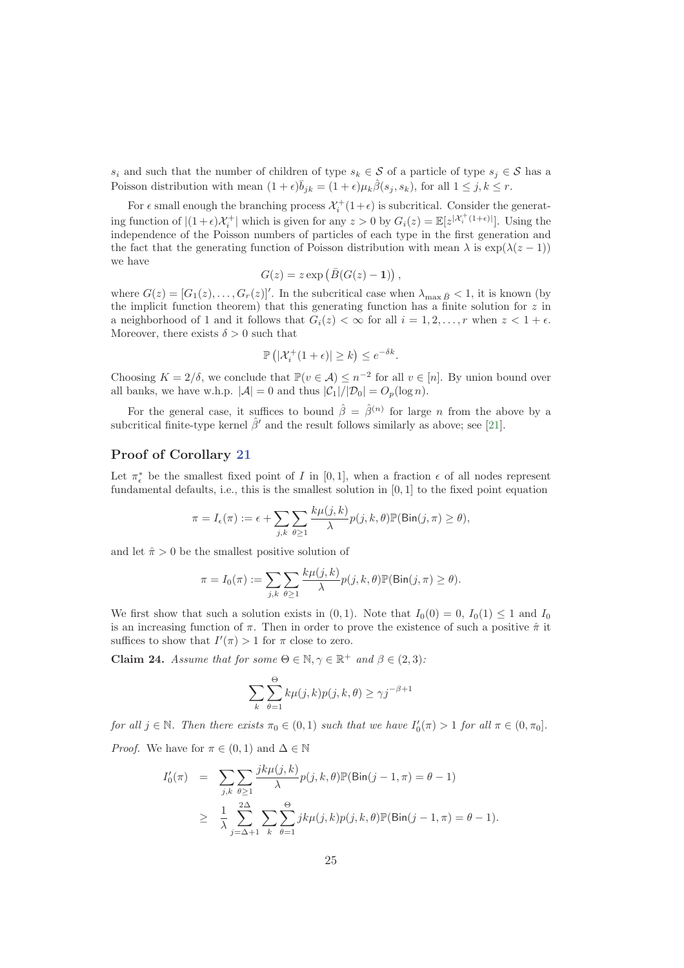$s_i$  and such that the number of children of type  $s_k \in \mathcal{S}$  of a particle of type  $s_j \in \mathcal{S}$  has a Poisson distribution with mean  $(1 + \epsilon)\overline{b}_{jk} = (1 + \epsilon)\mu_k \hat{\beta}(s_j, s_k)$ , for all  $1 \leq j, k \leq r$ .

For  $\epsilon$  small enough the branching process  $\mathcal{X}_i^+(1+\epsilon)$  is subcritical. Consider the generating function of  $|(1+\epsilon)\mathcal{X}_i^+|$  which is given for any  $z > 0$  by  $G_i(z) = \mathbb{E}[z^{|\mathcal{X}_i^+(1+\epsilon)|}]$ . Using the independence of the Poisson numbers of particles of each type in the first generation and the fact that the generating function of Poisson distribution with mean  $\lambda$  is  $\exp(\lambda(z-1))$ we have

$$
G(z)=z\exp\left(\bar{B}(G(z)-{\bf 1})\right),
$$

where  $G(z) = [G_1(z), \ldots, G_r(z)]'$ . In the subcritical case when  $\lambda_{\max \bar{B}} < 1$ , it is known (by the implicit function theorem) that this generating function has a finite solution for  $z$  in a neighborhood of 1 and it follows that  $G_i(z) < \infty$  for all  $i = 1, 2, \ldots, r$  when  $z < 1 + \epsilon$ . Moreover, there exists  $\delta > 0$  such that

$$
\mathbb{P}\left(|\mathcal{X}_i^+(1+\epsilon)|\geq k\right)\leq e^{-\delta k}.
$$

Choosing  $K = 2/\delta$ , we conclude that  $\mathbb{P}(v \in \mathcal{A}) \leq n^{-2}$  for all  $v \in [n]$ . By union bound over all banks, we have w.h.p.  $|\mathcal{A}| = 0$  and thus  $|\mathcal{C}_1|/|\mathcal{D}_0| = O_p(\log n)$ .

For the general case, it suffices to bound  $\hat{\beta} = \hat{\beta}^{(n)}$  for large n from the above by a subcritical finite-type kernel  $\hat{\beta}'$  and the result follows similarly as above; see [21].

### Proof of Corollary 21

Let  $\pi_{\epsilon}^{*}$  be the smallest fixed point of I in [0, 1], when a fraction  $\epsilon$  of all nodes represent fundamental defaults, i.e., this is the smallest solution in [0, 1] to the fixed point equation

$$
\pi = I_{\epsilon}(\pi) := \epsilon + \sum_{j,k} \sum_{\theta \ge 1} \frac{k\mu(j,k)}{\lambda} p(j,k,\theta) \mathbb{P}(\text{Bin}(j,\pi) \ge \theta),
$$

and let  $\hat{\pi} > 0$  be the smallest positive solution of

$$
\pi = I_0(\pi) := \sum_{j,k} \sum_{\theta \ge 1} \frac{k \mu(j,k)}{\lambda} p(j,k,\theta) \mathbb{P}(\text{Bin}(j,\pi) \ge \theta).
$$

We first show that such a solution exists in  $(0, 1)$ . Note that  $I_0(0) = 0$ ,  $I_0(1) \leq 1$  and  $I_0$ is an increasing function of  $\pi$ . Then in order to prove the existence of such a positive  $\hat{\pi}$  it suffices to show that  $I'(\pi) > 1$  for  $\pi$  close to zero.

**Claim 24.** *Assume that for some*  $\Theta \in \mathbb{N}, \gamma \in \mathbb{R}^+$  *and*  $\beta \in (2, 3)$ *:* 

$$
\sum_{k} \sum_{\theta=1}^{\Theta} k \mu(j,k) p(j,k,\theta) \ge \gamma j^{-\beta+1}
$$

*for all*  $j \in \mathbb{N}$ *. Then there exists*  $\pi_0 \in (0, 1)$  *such that we have*  $I'_0(\pi) > 1$  *for all*  $\pi \in (0, \pi_0]$ *. Proof.* We have for  $\pi \in (0,1)$  and  $\Delta \in \mathbb{N}$ 

$$
I'_0(\pi) = \sum_{j,k} \sum_{\theta \ge 1} \frac{jk\mu(j,k)}{\lambda} p(j,k,\theta) \mathbb{P}(\text{Bin}(j-1,\pi) = \theta - 1)
$$
  
 
$$
\ge \frac{1}{\lambda} \sum_{j=\Delta+1}^{2\Delta} \sum_{k} \sum_{\theta=1}^{Q} jk\mu(j,k) p(j,k,\theta) \mathbb{P}(\text{Bin}(j-1,\pi) = \theta - 1).
$$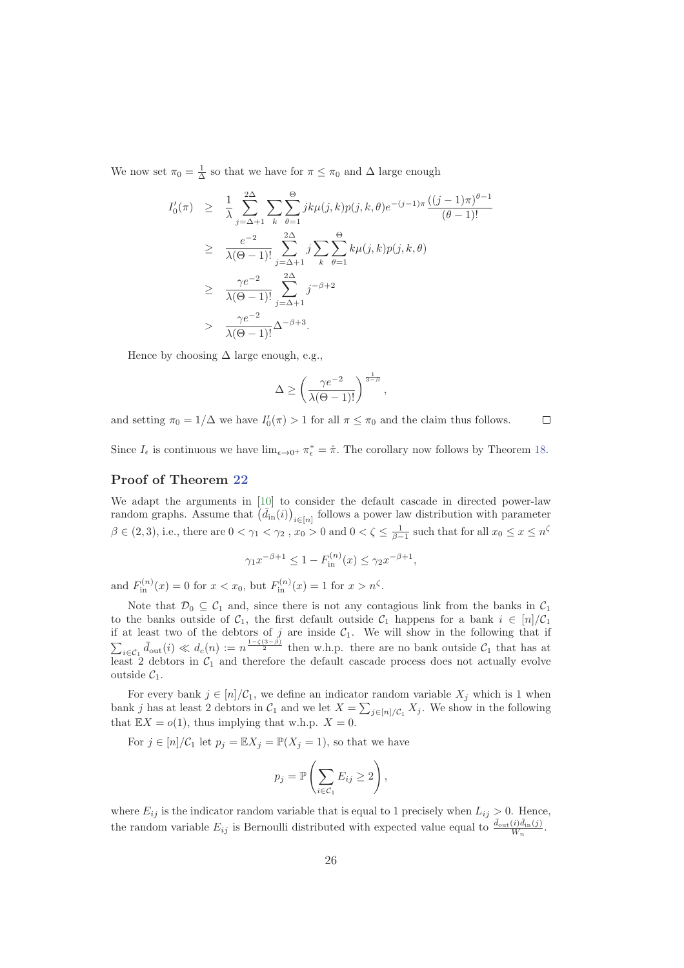We now set  $\pi_0 = \frac{1}{\Delta}$  so that we have for  $\pi \leq \pi_0$  and  $\Delta$  large enough

$$
I'_{0}(\pi) \geq \frac{1}{\lambda} \sum_{j=\Delta+1}^{2\Delta} \sum_{k} \sum_{\theta=1}^{\Theta} j k \mu(j,k) p(j,k,\theta) e^{-(j-1)\pi} \frac{((j-1)\pi)^{\theta-1}}{(\theta-1)!}
$$
  
\n
$$
\geq \frac{e^{-2}}{\lambda(\Theta-1)!} \sum_{j=\Delta+1}^{2\Delta} j \sum_{k} \sum_{\theta=1}^{\Theta} k \mu(j,k) p(j,k,\theta)
$$
  
\n
$$
\geq \frac{\gamma e^{-2}}{\lambda(\Theta-1)!} \sum_{j=\Delta+1}^{2\Delta} j^{-\beta+2}
$$
  
\n
$$
> \frac{\gamma e^{-2}}{\lambda(\Theta-1)!} \Delta^{-\beta+3}.
$$

Hence by choosing  $\Delta$  large enough, e.g.,

$$
\Delta \ge \left(\frac{\gamma e^{-2}}{\lambda(\Theta - 1)!}\right)^{\frac{1}{3-\beta}},
$$

 $\Box$ and setting  $\pi_0 = 1/\Delta$  we have  $I'_0(\pi) > 1$  for all  $\pi \leq \pi_0$  and the claim thus follows.

Since  $I_{\epsilon}$  is continuous we have  $\lim_{\epsilon \to 0^+} \pi_{\epsilon}^* = \hat{\pi}$ . The corollary now follows by Theorem 18.

#### Proof of Theorem 22

We adapt the arguments in [10] to consider the default cascade in directed power-law random graphs. Assume that  $(\bar{d}_{in}(i))_{i\in[n]}$  follows a power law distribution with parameter  $\beta \in (2,3)$ , i.e., there are  $0 < \gamma_1 < \gamma_2$ ,  $x_0 > 0$  and  $0 < \zeta \leq \frac{1}{\beta - 1}$  such that for all  $x_0 \leq x \leq n^{\zeta}$ 

$$
\gamma_1 x^{-\beta+1} \le 1 - F_{\text{in}}^{(n)}(x) \le \gamma_2 x^{-\beta+1},
$$

and  $F_{\text{in}}^{(n)}(x) = 0$  for  $x < x_0$ , but  $F_{\text{in}}^{(n)}(x) = 1$  for  $x > n^{\zeta}$ .

Note that  $\mathcal{D}_0 \subseteq \mathcal{C}_1$  and, since there is not any contagious link from the banks in  $\mathcal{C}_1$ to the banks outside of  $C_1$ , the first default outside  $C_1$  happens for a bank  $i \in [n]/C_1$ if at least two of the debtors of j are inside  $C_1$ . We will show in the following that if  $\sum_{i \in \mathcal{C}_1} \bar{d}_{\text{out}}(i) \ll d_c(n) := n^{\frac{1-\zeta(3-\beta)}{2}}$  then w.h.p. there are no bank outside  $\mathcal{C}_1$  that has at least 2 debtors in  $C_1$  and therefore the default cascade process does not actually evolve outside  $C_1$ .

For every bank  $j \in [n]/\mathcal{C}_1$ , we define an indicator random variable  $X_j$  which is 1 when bank j has at least 2 debtors in  $C_1$  and we let  $X = \sum_{j \in [n]}/c_1 X_j$ . We show in the following that  $\mathbb{E}X = o(1)$ , thus implying that w.h.p.  $X = 0$ .

For  $j \in [n]/\mathcal{C}_1$  let  $p_j = \mathbb{E}X_j = \mathbb{P}(X_j = 1)$ , so that we have

$$
p_j = \mathbb{P}\left(\sum_{i \in \mathcal{C}_1} E_{ij} \ge 2\right),\,
$$

where  $E_{ij}$  is the indicator random variable that is equal to 1 precisely when  $L_{ij} > 0$ . Hence, the random variable  $E_{ij}$  is Bernoulli distributed with expected value equal to  $\frac{\bar{d}_{\text{out}}(i)\bar{d}_{\text{in}}(j)}{W_n}$ .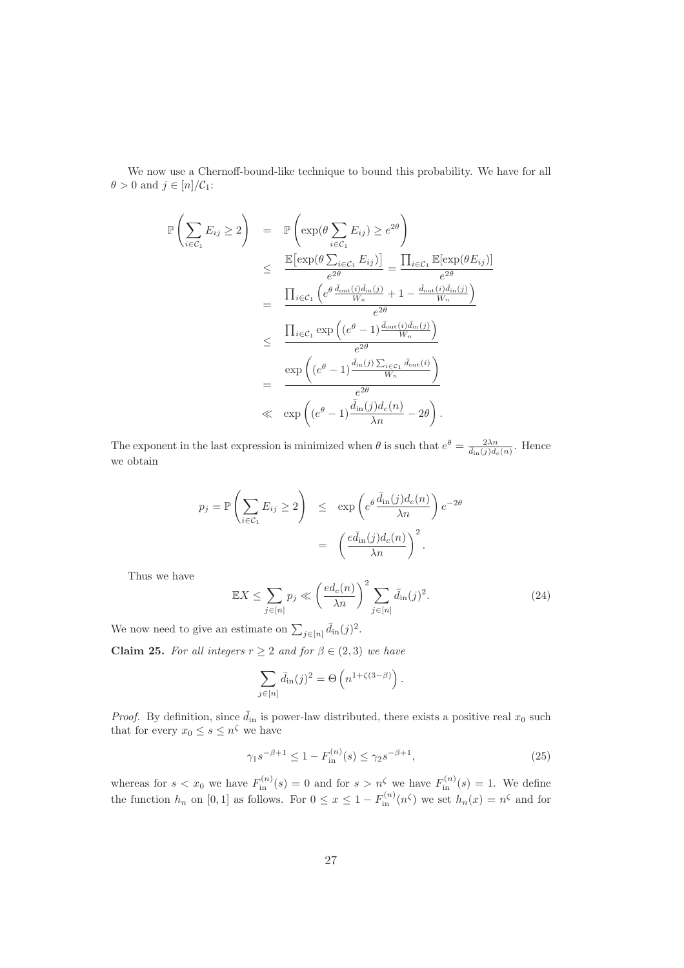We now use a Chernoff-bound-like technique to bound this probability. We have for all  $\theta > 0$  and  $j \in [n]/\mathcal{C}_1$ :

$$
\mathbb{P}\left(\sum_{i\in\mathcal{C}_{1}}E_{ij}\geq 2\right) = \mathbb{P}\left(\exp(\theta\sum_{i\in\mathcal{C}_{1}}E_{ij})\geq e^{2\theta}\right)
$$
\n
$$
\leq \frac{\mathbb{E}\left[\exp(\theta\sum_{i\in\mathcal{C}_{1}}E_{ij})\right]}{e^{2\theta}} = \frac{\prod_{i\in\mathcal{C}_{1}}\mathbb{E}[\exp(\theta E_{ij})]}{e^{2\theta}}
$$
\n
$$
= \frac{\prod_{i\in\mathcal{C}_{1}}\left(e^{\theta\frac{\bar{d}_{\text{out}}(i)\bar{d}_{\text{in}}(j)}{W_{n}}+1-\frac{\bar{d}_{\text{out}}(i)\bar{d}_{\text{in}}(j)}{W_{n}}\right)}{e^{2\theta}}
$$
\n
$$
\leq \frac{\prod_{i\in\mathcal{C}_{1}}\exp\left((e^{\theta}-1)\frac{\bar{d}_{\text{out}}(i)\bar{d}_{\text{in}}(j)}{W_{n}}\right)}{e^{2\theta}}
$$
\n
$$
= \frac{\exp\left((e^{\theta}-1)\frac{\bar{d}_{\text{in}}(j)\sum_{i\in\mathcal{C}_{1}}\bar{d}_{\text{out}}(i)}{W_{n}}\right)}{e^{2\theta}}
$$
\n
$$
\ll \exp\left((e^{\theta}-1)\frac{\bar{d}_{\text{in}}(j)d_{c}(n)}{\lambda n}-2\theta\right).
$$

The exponent in the last expression is minimized when  $\theta$  is such that  $e^{\theta} = \frac{2\lambda n}{d_{\text{in}}(j)d_c(n)}$ . Hence we obtain

$$
p_j = \mathbb{P}\left(\sum_{i \in C_1} E_{ij} \ge 2\right) \le \exp\left(e^{\theta} \frac{\bar{d}_{\text{in}}(j)d_c(n)}{\lambda n}\right) e^{-2\theta}
$$

$$
= \left(\frac{e\bar{d}_{\text{in}}(j)d_c(n)}{\lambda n}\right)^2.
$$

Thus we have

$$
\mathbb{E}X \le \sum_{j \in [n]} p_j \ll \left(\frac{ed_c(n)}{\lambda n}\right)^2 \sum_{j \in [n]} \bar{d}_{\text{in}}(j)^2. \tag{24}
$$

We now need to give an estimate on  $\sum_{j \in [n]} \bar{d}_{in}(j)^2$ .

**Claim 25.** *For all integers*  $r \geq 2$  *and for*  $\beta \in (2,3)$  *we have* 

$$
\sum_{j\in[n]} \bar{d}_{\rm in}(j)^2 = \Theta\left(n^{1+\zeta(3-\beta)}\right).
$$

*Proof.* By definition, since  $\bar{d}_{\text{in}}$  is power-law distributed, there exists a positive real  $x_0$  such that for every  $x_0 \leq s \leq n^{\zeta}$  we have

$$
\gamma_1 s^{-\beta+1} \le 1 - F_{\text{in}}^{(n)}(s) \le \gamma_2 s^{-\beta+1},\tag{25}
$$

whereas for  $s < x_0$  we have  $F_{\text{in}}^{(n)}(s) = 0$  and for  $s > n^{\zeta}$  we have  $F_{\text{in}}^{(n)}(s) = 1$ . We define the function  $h_n$  on [0, 1] as follows. For  $0 \le x \le 1 - F_{\text{in}}^{(n)}(n^{\zeta})$  we set  $h_n(x) = n^{\zeta}$  and for